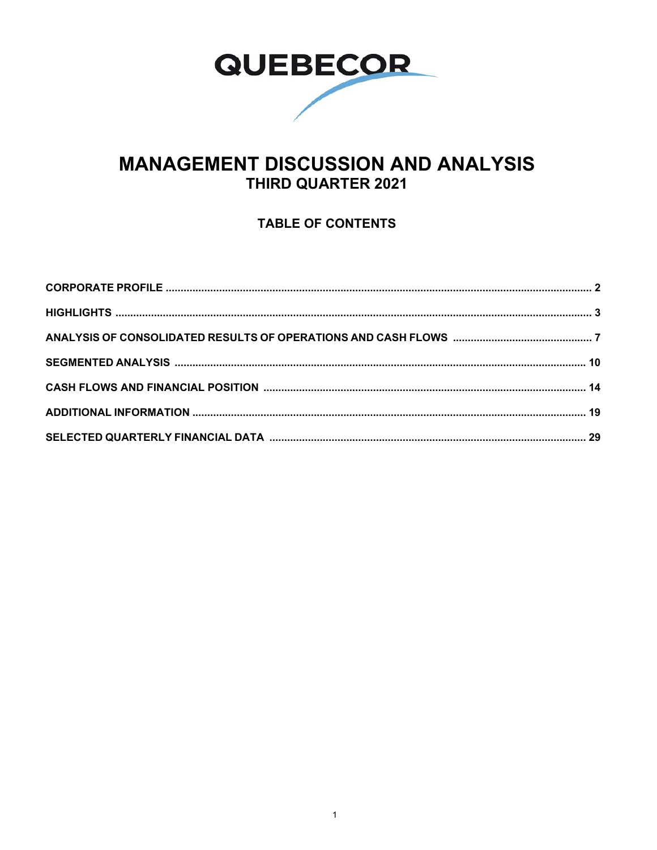

# **MANAGEMENT DISCUSSION AND ANALYSIS** THIRD QUARTER 2021

## **TABLE OF CONTENTS**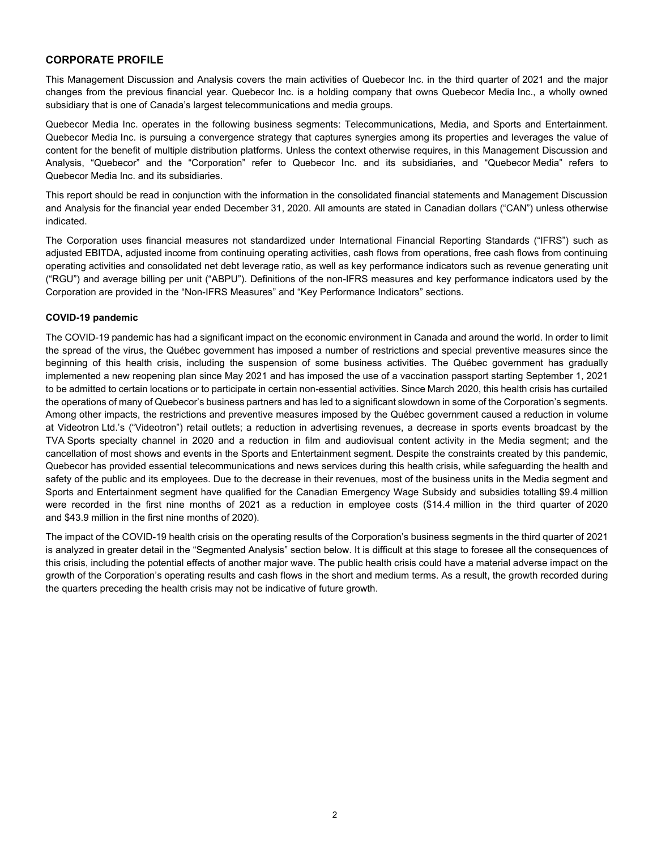### **CORPORATE PROFILE**

This Management Discussion and Analysis covers the main activities of Quebecor Inc. in the third quarter of 2021 and the major changes from the previous financial year. Quebecor Inc. is a holding company that owns Quebecor Media Inc., a wholly owned subsidiary that is one of Canada's largest telecommunications and media groups.

Quebecor Media Inc. operates in the following business segments: Telecommunications, Media, and Sports and Entertainment. Quebecor Media Inc. is pursuing a convergence strategy that captures synergies among its properties and leverages the value of content for the benefit of multiple distribution platforms. Unless the context otherwise requires, in this Management Discussion and Analysis, "Quebecor" and the "Corporation" refer to Quebecor Inc. and its subsidiaries, and "Quebecor Media" refers to Quebecor Media Inc. and its subsidiaries.

This report should be read in conjunction with the information in the consolidated financial statements and Management Discussion and Analysis for the financial year ended December 31, 2020. All amounts are stated in Canadian dollars ("CAN") unless otherwise indicated.

The Corporation uses financial measures not standardized under International Financial Reporting Standards ("IFRS") such as adjusted EBITDA, adjusted income from continuing operating activities, cash flows from operations, free cash flows from continuing operating activities and consolidated net debt leverage ratio, as well as key performance indicators such as revenue generating unit ("RGU") and average billing per unit ("ABPU"). Definitions of the non-IFRS measures and key performance indicators used by the Corporation are provided in the "Non-IFRS Measures" and "Key Performance Indicators" sections.

### **COVID-19 pandemic**

The COVID-19 pandemic has had a significant impact on the economic environment in Canada and around the world. In order to limit the spread of the virus, the Québec government has imposed a number of restrictions and special preventive measures since the beginning of this health crisis, including the suspension of some business activities. The Québec government has gradually implemented a new reopening plan since May 2021 and has imposed the use of a vaccination passport starting September 1, 2021 to be admitted to certain locations or to participate in certain non-essential activities. Since March 2020, this health crisis has curtailed the operations of many of Quebecor's business partners and has led to a significant slowdown in some of the Corporation's segments. Among other impacts, the restrictions and preventive measures imposed by the Québec government caused a reduction in volume at Videotron Ltd.'s ("Videotron") retail outlets; a reduction in advertising revenues, a decrease in sports events broadcast by the TVA Sports specialty channel in 2020 and a reduction in film and audiovisual content activity in the Media segment; and the cancellation of most shows and events in the Sports and Entertainment segment. Despite the constraints created by this pandemic, Quebecor has provided essential telecommunications and news services during this health crisis, while safeguarding the health and safety of the public and its employees. Due to the decrease in their revenues, most of the business units in the Media segment and Sports and Entertainment segment have qualified for the Canadian Emergency Wage Subsidy and subsidies totalling \$9.4 million were recorded in the first nine months of 2021 as a reduction in employee costs (\$14.4 million in the third quarter of 2020 and \$43.9 million in the first nine months of 2020).

The impact of the COVID-19 health crisis on the operating results of the Corporation's business segments in the third quarter of 2021 is analyzed in greater detail in the "Segmented Analysis" section below. It is difficult at this stage to foresee all the consequences of this crisis, including the potential effects of another major wave. The public health crisis could have a material adverse impact on the growth of the Corporation's operating results and cash flows in the short and medium terms. As a result, the growth recorded during the quarters preceding the health crisis may not be indicative of future growth.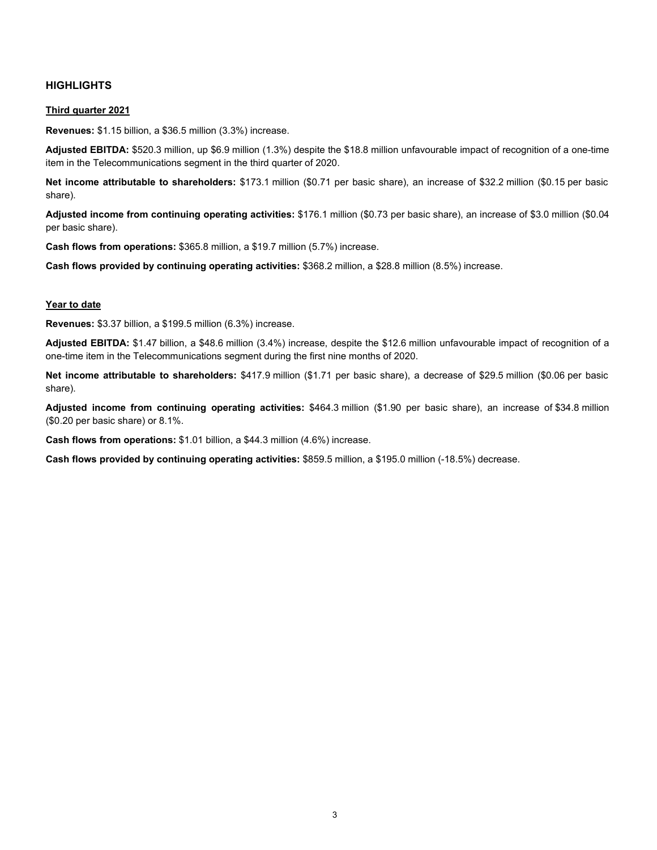### **HIGHLIGHTS**

### **Third quarter 2021**

**Revenues:** \$1.15 billion, a \$36.5 million (3.3%) increase.

**Adjusted EBITDA:** \$520.3 million, up \$6.9 million (1.3%) despite the \$18.8 million unfavourable impact of recognition of a one-time item in the Telecommunications segment in the third quarter of 2020.

**Net income attributable to shareholders:** \$173.1 million (\$0.71 per basic share), an increase of \$32.2 million (\$0.15 per basic share).

**Adjusted income from continuing operating activities:** \$176.1 million (\$0.73 per basic share), an increase of \$3.0 million (\$0.04 per basic share).

**Cash flows from operations:** \$365.8 million, a \$19.7 million (5.7%) increase.

**Cash flows provided by continuing operating activities:** \$368.2 million, a \$28.8 million (8.5%) increase.

### **Year to date**

**Revenues:** \$3.37 billion, a \$199.5 million (6.3%) increase.

**Adjusted EBITDA:** \$1.47 billion, a \$48.6 million (3.4%) increase, despite the \$12.6 million unfavourable impact of recognition of a one-time item in the Telecommunications segment during the first nine months of 2020.

**Net income attributable to shareholders:** \$417.9 million (\$1.71 per basic share), a decrease of \$29.5 million (\$0.06 per basic share).

**Adjusted income from continuing operating activities:** \$464.3 million (\$1.90 per basic share), an increase of \$34.8 million (\$0.20 per basic share) or 8.1%.

**Cash flows from operations:** \$1.01 billion, a \$44.3 million (4.6%) increase.

**Cash flows provided by continuing operating activities:** \$859.5 million, a \$195.0 million (-18.5%) decrease.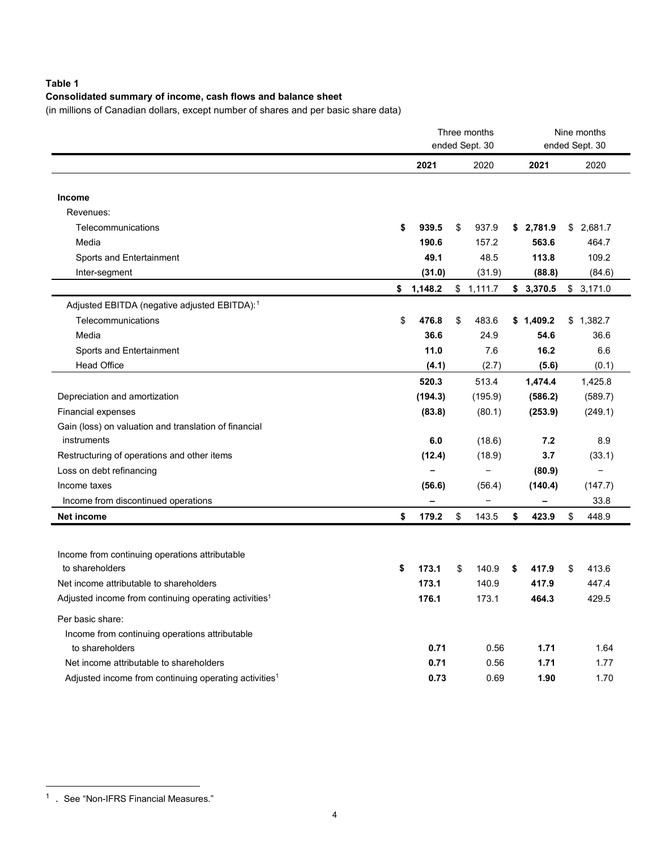### **Table 1**

### **Consolidated summary of income, cash flows and balance sheet**

(in millions of Canadian dollars, except number of shares and per basic share data)

|                                                                   | Three months<br>ended Sept. 30 |                          |    |           | Nine months<br>ended Sept. 30 |           |    |           |
|-------------------------------------------------------------------|--------------------------------|--------------------------|----|-----------|-------------------------------|-----------|----|-----------|
|                                                                   |                                | 2021                     |    | 2020      |                               | 2021      |    | 2020      |
|                                                                   |                                |                          |    |           |                               |           |    |           |
| Income                                                            |                                |                          |    |           |                               |           |    |           |
| Revenues:                                                         |                                |                          |    |           |                               |           |    |           |
| Telecommunications                                                | \$                             | 939.5                    | \$ | 937.9     |                               | \$2,781.9 |    | \$2,681.7 |
| Media                                                             |                                | 190.6                    |    | 157.2     |                               | 563.6     |    | 464.7     |
| Sports and Entertainment                                          |                                | 49.1                     |    | 48.5      |                               | 113.8     |    | 109.2     |
| Inter-segment                                                     |                                | (31.0)                   |    | (31.9)    |                               | (88.8)    |    | (84.6)    |
|                                                                   | \$                             | 1,148.2                  |    | \$1,111.7 |                               | \$3,370.5 |    | \$3,171.0 |
| Adjusted EBITDA (negative adjusted EBITDA): <sup>1</sup>          |                                |                          |    |           |                               |           |    |           |
| Telecommunications                                                | \$                             | 476.8                    | \$ | 483.6     |                               | \$1,409.2 |    | \$1,382.7 |
| Media                                                             |                                | 36.6                     |    | 24.9      |                               | 54.6      |    | 36.6      |
| Sports and Entertainment                                          |                                | 11.0                     |    | 7.6       |                               | 16.2      |    | 6.6       |
| <b>Head Office</b>                                                |                                | (4.1)                    |    | (2.7)     |                               | (5.6)     |    | (0.1)     |
|                                                                   |                                | 520.3                    |    | 513.4     |                               | 1,474.4   |    | 1,425.8   |
| Depreciation and amortization                                     |                                | (194.3)                  |    | (195.9)   |                               | (586.2)   |    | (589.7)   |
| <b>Financial expenses</b>                                         |                                | (83.8)                   |    | (80.1)    |                               | (253.9)   |    | (249.1)   |
| Gain (loss) on valuation and translation of financial             |                                |                          |    |           |                               |           |    |           |
| instruments                                                       |                                | 6.0                      |    | (18.6)    |                               | 7.2       |    | 8.9       |
| Restructuring of operations and other items                       |                                | (12.4)                   |    | (18.9)    |                               | 3.7       |    | (33.1)    |
| Loss on debt refinancing                                          |                                | $\overline{\phantom{0}}$ |    |           |                               | (80.9)    |    | $\equiv$  |
| Income taxes                                                      |                                | (56.6)                   |    | (56.4)    |                               | (140.4)   |    | (147.7)   |
| Income from discontinued operations                               |                                | -                        |    |           |                               | -         |    | 33.8      |
| <b>Net income</b>                                                 | \$                             | 179.2                    | \$ | 143.5     | \$                            | 423.9     | \$ | 448.9     |
|                                                                   |                                |                          |    |           |                               |           |    |           |
| Income from continuing operations attributable                    |                                |                          |    |           |                               |           |    |           |
| to shareholders                                                   | \$                             | 173.1                    | \$ | 140.9     | \$                            | 417.9     | \$ | 413.6     |
| Net income attributable to shareholders                           |                                | 173.1                    |    | 140.9     |                               | 417.9     |    | 447.4     |
| Adjusted income from continuing operating activities <sup>1</sup> |                                | 176.1                    |    | 173.1     |                               | 464.3     |    | 429.5     |
|                                                                   |                                |                          |    |           |                               |           |    |           |
| Per basic share:                                                  |                                |                          |    |           |                               |           |    |           |
| Income from continuing operations attributable                    |                                |                          |    |           |                               |           |    |           |
| to shareholders                                                   |                                | 0.71                     |    | 0.56      |                               | 1.71      |    | 1.64      |
| Net income attributable to shareholders                           |                                | 0.71                     |    | 0.56      |                               | 1.71      |    | 1.77      |
| Adjusted income from continuing operating activities <sup>1</sup> |                                | 0.73                     |    | 0.69      |                               | 1.90      |    | 1.70      |

<span id="page-3-0"></span><sup>1 .</sup> See "Non-IFRS Financial Measures."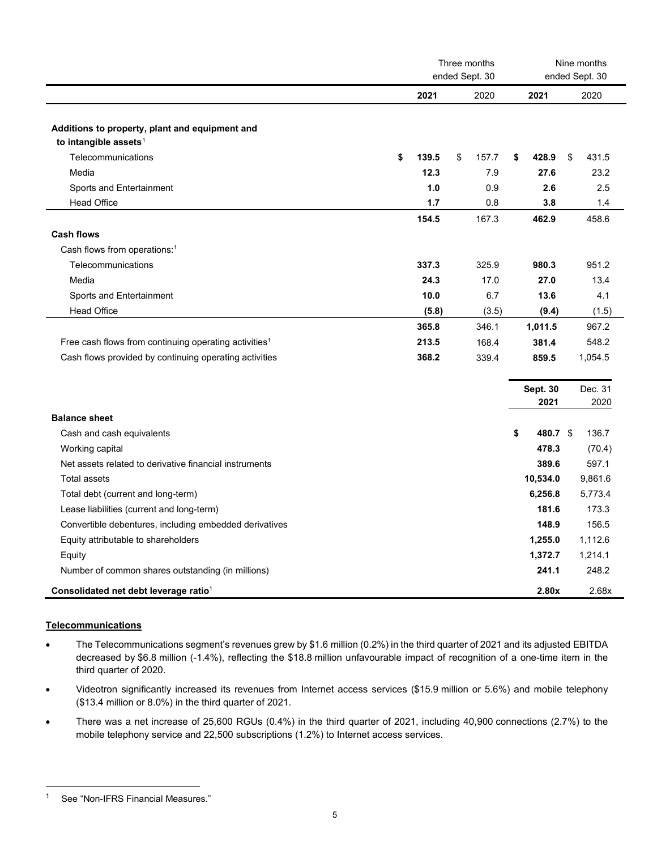|                                                                   | Three months<br>ended Sept. 30<br>2021<br>2020<br>2021<br>139.5<br>\$<br>157.7<br>\$<br>428.9<br>12.3<br>27.6<br>7.9<br>1.0<br>0.9<br>2.6<br>1.7<br>0.8<br>3.8<br>167.3<br>462.9<br>154.5<br>337.3<br>325.9<br>980.3<br>24.3<br>27.0<br>17.0<br>10.0<br>6.7<br>13.6<br>(5.8)<br>(3.5)<br>(9.4)<br>365.8<br>346.1<br>1,011.5<br>213.5<br>168.4<br>381.4<br>368.2<br>339.4<br>859.5<br><b>Sept. 30</b><br>2021<br>\$<br>480.7 \$<br>478.3 |  |  |          | Nine months<br>ended Sept. 30 |    |         |
|-------------------------------------------------------------------|-----------------------------------------------------------------------------------------------------------------------------------------------------------------------------------------------------------------------------------------------------------------------------------------------------------------------------------------------------------------------------------------------------------------------------------------|--|--|----------|-------------------------------|----|---------|
|                                                                   |                                                                                                                                                                                                                                                                                                                                                                                                                                         |  |  |          |                               |    | 2020    |
|                                                                   |                                                                                                                                                                                                                                                                                                                                                                                                                                         |  |  |          |                               |    |         |
| Additions to property, plant and equipment and                    |                                                                                                                                                                                                                                                                                                                                                                                                                                         |  |  |          |                               |    |         |
| to intangible assets <sup>1</sup>                                 |                                                                                                                                                                                                                                                                                                                                                                                                                                         |  |  |          |                               |    |         |
| Telecommunications                                                | \$                                                                                                                                                                                                                                                                                                                                                                                                                                      |  |  |          |                               | \$ | 431.5   |
| Media                                                             |                                                                                                                                                                                                                                                                                                                                                                                                                                         |  |  |          |                               |    | 23.2    |
| Sports and Entertainment                                          |                                                                                                                                                                                                                                                                                                                                                                                                                                         |  |  |          |                               |    | 2.5     |
| <b>Head Office</b>                                                |                                                                                                                                                                                                                                                                                                                                                                                                                                         |  |  |          |                               |    | 1.4     |
|                                                                   |                                                                                                                                                                                                                                                                                                                                                                                                                                         |  |  |          |                               |    | 458.6   |
| <b>Cash flows</b>                                                 |                                                                                                                                                                                                                                                                                                                                                                                                                                         |  |  |          |                               |    |         |
| Cash flows from operations: <sup>1</sup>                          |                                                                                                                                                                                                                                                                                                                                                                                                                                         |  |  |          |                               |    |         |
| Telecommunications                                                |                                                                                                                                                                                                                                                                                                                                                                                                                                         |  |  |          |                               |    | 951.2   |
| Media                                                             |                                                                                                                                                                                                                                                                                                                                                                                                                                         |  |  |          |                               |    | 13.4    |
| Sports and Entertainment                                          |                                                                                                                                                                                                                                                                                                                                                                                                                                         |  |  |          |                               |    | 4.1     |
| <b>Head Office</b>                                                |                                                                                                                                                                                                                                                                                                                                                                                                                                         |  |  |          |                               |    | (1.5)   |
|                                                                   |                                                                                                                                                                                                                                                                                                                                                                                                                                         |  |  |          |                               |    | 967.2   |
| Free cash flows from continuing operating activities <sup>1</sup> |                                                                                                                                                                                                                                                                                                                                                                                                                                         |  |  |          |                               |    | 548.2   |
| Cash flows provided by continuing operating activities            |                                                                                                                                                                                                                                                                                                                                                                                                                                         |  |  |          |                               |    | 1,054.5 |
|                                                                   |                                                                                                                                                                                                                                                                                                                                                                                                                                         |  |  |          |                               |    |         |
|                                                                   |                                                                                                                                                                                                                                                                                                                                                                                                                                         |  |  |          |                               |    | Dec. 31 |
|                                                                   |                                                                                                                                                                                                                                                                                                                                                                                                                                         |  |  |          |                               |    | 2020    |
| <b>Balance sheet</b>                                              |                                                                                                                                                                                                                                                                                                                                                                                                                                         |  |  |          |                               |    |         |
| Cash and cash equivalents                                         |                                                                                                                                                                                                                                                                                                                                                                                                                                         |  |  |          |                               |    | 136.7   |
| Working capital                                                   |                                                                                                                                                                                                                                                                                                                                                                                                                                         |  |  |          |                               |    | (70.4)  |
| Net assets related to derivative financial instruments            |                                                                                                                                                                                                                                                                                                                                                                                                                                         |  |  | 389.6    |                               |    | 597.1   |
| <b>Total assets</b>                                               |                                                                                                                                                                                                                                                                                                                                                                                                                                         |  |  | 10,534.0 |                               |    | 9,861.6 |
| Total debt (current and long-term)                                |                                                                                                                                                                                                                                                                                                                                                                                                                                         |  |  | 6,256.8  |                               |    | 5,773.4 |
| Lease liabilities (current and long-term)                         |                                                                                                                                                                                                                                                                                                                                                                                                                                         |  |  | 181.6    |                               |    | 173.3   |
| Convertible debentures, including embedded derivatives            |                                                                                                                                                                                                                                                                                                                                                                                                                                         |  |  | 148.9    |                               |    | 156.5   |
| Equity attributable to shareholders                               |                                                                                                                                                                                                                                                                                                                                                                                                                                         |  |  | 1,255.0  |                               |    | 1,112.6 |
| Equity                                                            |                                                                                                                                                                                                                                                                                                                                                                                                                                         |  |  | 1,372.7  |                               |    | 1,214.1 |
| Number of common shares outstanding (in millions)                 |                                                                                                                                                                                                                                                                                                                                                                                                                                         |  |  | 241.1    |                               |    | 248.2   |
| Consolidated net debt leverage ratio <sup>1</sup>                 |                                                                                                                                                                                                                                                                                                                                                                                                                                         |  |  | 2.80x    |                               |    | 2.68x   |

### **Telecommunications**

- The Telecommunications segment's revenues grew by \$1.6 million (0.2%) in the third quarter of 2021 and its adjusted EBITDA decreased by \$6.8 million (-1.4%), reflecting the \$18.8 million unfavourable impact of recognition of a one-time item in the third quarter of 2020.
- Videotron significantly increased its revenues from Internet access services (\$15.9 million or 5.6%) and mobile telephony (\$13.4 million or 8.0%) in the third quarter of 2021.
- There was a net increase of 25,600 RGUs (0.4%) in the third quarter of 2021, including 40,900 connections (2.7%) to the mobile telephony service and 22,500 subscriptions (1.2%) to Internet access services.

<span id="page-4-0"></span><sup>1</sup> See "Non-IFRS Financial Measures."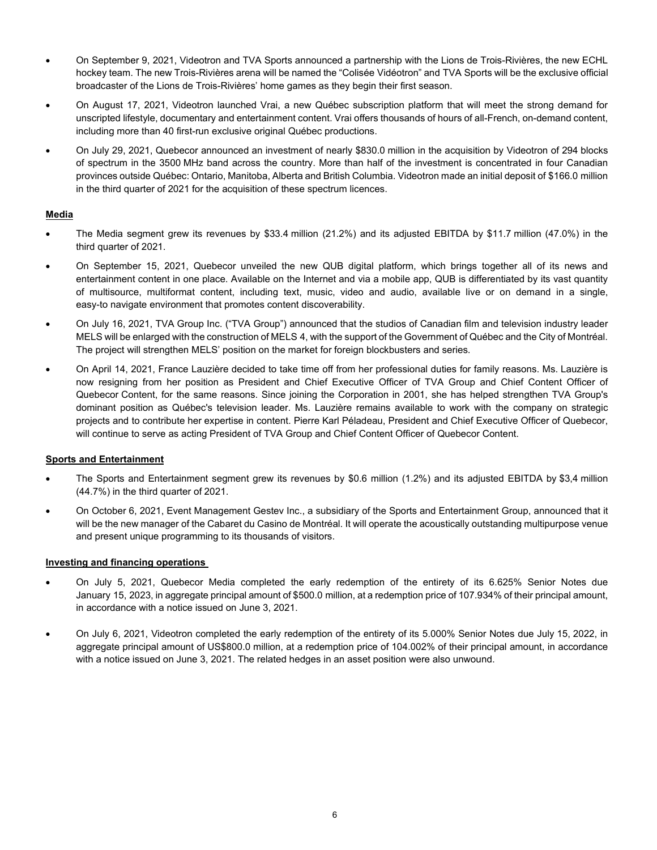- On September 9, 2021, Videotron and TVA Sports announced a partnership with the Lions de Trois-Rivières, the new ECHL hockey team. The new Trois-Rivières arena will be named the "Colisée Vidéotron" and TVA Sports will be the exclusive official broadcaster of the Lions de Trois-Rivières' home games as they begin their first season.
- On August 17, 2021, Videotron launched Vrai, a new Québec subscription platform that will meet the strong demand for unscripted lifestyle, documentary and entertainment content. Vrai offers thousands of hours of all-French, on-demand content, including more than 40 first-run exclusive original Québec productions.
- On July 29, 2021, Quebecor announced an investment of nearly \$830.0 million in the acquisition by Videotron of 294 blocks of spectrum in the 3500 MHz band across the country. More than half of the investment is concentrated in four Canadian provinces outside Québec: Ontario, Manitoba, Alberta and British Columbia. Videotron made an initial deposit of \$166.0 million in the third quarter of 2021 for the acquisition of these spectrum licences.

### **Media**

- The Media segment grew its revenues by \$33.4 million (21.2%) and its adjusted EBITDA by \$11.7 million (47.0%) in the third quarter of 2021.
- On September 15, 2021, Quebecor unveiled the new QUB digital platform, which brings together all of its news and entertainment content in one place. Available on the Internet and via a mobile app, QUB is differentiated by its vast quantity of multisource, multiformat content, including text, music, video and audio, available live or on demand in a single, easy-to navigate environment that promotes content discoverability.
- On July 16, 2021, TVA Group Inc. ("TVA Group") announced that the studios of Canadian film and television industry leader MELS will be enlarged with the construction of MELS 4, with the support of the Government of Québec and the City of Montréal. The project will strengthen MELS' position on the market for foreign blockbusters and series.
- On April 14, 2021, France Lauzière decided to take time off from her professional duties for family reasons. Ms. Lauzière is now resigning from her position as President and Chief Executive Officer of TVA Group and Chief Content Officer of Quebecor Content, for the same reasons. Since joining the Corporation in 2001, she has helped strengthen TVA Group's dominant position as Québec's television leader. Ms. Lauzière remains available to work with the company on strategic projects and to contribute her expertise in content. Pierre Karl Péladeau, President and Chief Executive Officer of Quebecor, will continue to serve as acting President of TVA Group and Chief Content Officer of Quebecor Content.

### **Sports and Entertainment**

- The Sports and Entertainment segment grew its revenues by \$0.6 million (1.2%) and its adjusted EBITDA by \$3,4 million (44.7%) in the third quarter of 2021.
- On October 6, 2021, Event Management Gestev Inc., a subsidiary of the Sports and Entertainment Group, announced that it will be the new manager of the Cabaret du Casino de Montréal. It will operate the acoustically outstanding multipurpose venue and present unique programming to its thousands of visitors.

### **Investing and financing operations**

- On July 5, 2021, Quebecor Media completed the early redemption of the entirety of its 6.625% Senior Notes due January 15, 2023, in aggregate principal amount of \$500.0 million, at a redemption price of 107.934% of their principal amount, in accordance with a notice issued on June 3, 2021.
- On July 6, 2021, Videotron completed the early redemption of the entirety of its 5.000% Senior Notes due July 15, 2022, in aggregate principal amount of US\$800.0 million, at a redemption price of 104.002% of their principal amount, in accordance with a notice issued on June 3, 2021. The related hedges in an asset position were also unwound.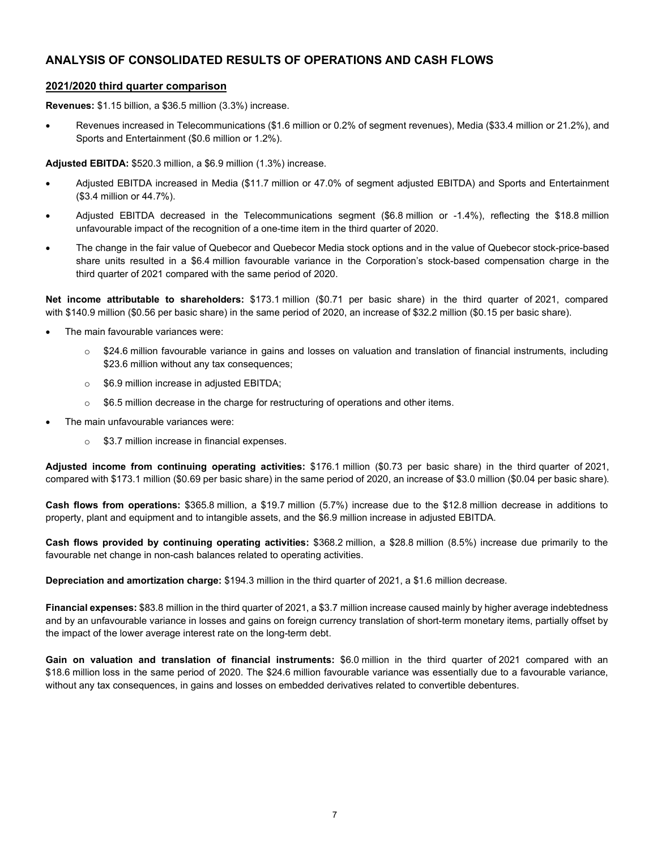### **ANALYSIS OF CONSOLIDATED RESULTS OF OPERATIONS AND CASH FLOWS**

### **2021/2020 third quarter comparison**

**Revenues:** \$1.15 billion, a \$36.5 million (3.3%) increase.

• Revenues increased in Telecommunications (\$1.6 million or 0.2% of segment revenues), Media (\$33.4 million or 21.2%), and Sports and Entertainment (\$0.6 million or 1.2%).

**Adjusted EBITDA:** \$520.3 million, a \$6.9 million (1.3%) increase.

- Adjusted EBITDA increased in Media (\$11.7 million or 47.0% of segment adjusted EBITDA) and Sports and Entertainment (\$3.4 million or 44.7%).
- Adjusted EBITDA decreased in the Telecommunications segment (\$6.8 million or -1.4%), reflecting the \$18.8 million unfavourable impact of the recognition of a one-time item in the third quarter of 2020.
- The change in the fair value of Quebecor and Quebecor Media stock options and in the value of Quebecor stock-price-based share units resulted in a \$6.4 million favourable variance in the Corporation's stock-based compensation charge in the third quarter of 2021 compared with the same period of 2020.

**Net income attributable to shareholders:** \$173.1 million (\$0.71 per basic share) in the third quarter of 2021, compared with \$140.9 million (\$0.56 per basic share) in the same period of 2020, an increase of \$32.2 million (\$0.15 per basic share).

- The main favourable variances were:
	- $\circ$  \$24.6 million favourable variance in gains and losses on valuation and translation of financial instruments, including \$23.6 million without any tax consequences;
	- o \$6.9 million increase in adjusted EBITDA;
	- $\circ$  \$6.5 million decrease in the charge for restructuring of operations and other items.
- The main unfavourable variances were:
	- o \$3.7 million increase in financial expenses.

**Adjusted income from continuing operating activities:** \$176.1 million (\$0.73 per basic share) in the third quarter of 2021, compared with \$173.1 million (\$0.69 per basic share) in the same period of 2020, an increase of \$3.0 million (\$0.04 per basic share).

**Cash flows from operations:** \$365.8 million, a \$19.7 million (5.7%) increase due to the \$12.8 million decrease in additions to property, plant and equipment and to intangible assets, and the \$6.9 million increase in adjusted EBITDA.

**Cash flows provided by continuing operating activities:** \$368.2 million, a \$28.8 million (8.5%) increase due primarily to the favourable net change in non-cash balances related to operating activities.

**Depreciation and amortization charge:** \$194.3 million in the third quarter of 2021, a \$1.6 million decrease.

**Financial expenses:** \$83.8 million in the third quarter of 2021, a \$3.7 million increase caused mainly by higher average indebtedness and by an unfavourable variance in losses and gains on foreign currency translation of short-term monetary items, partially offset by the impact of the lower average interest rate on the long-term debt.

**Gain on valuation and translation of financial instruments:** \$6.0 million in the third quarter of 2021 compared with an \$18.6 million loss in the same period of 2020. The \$24.6 million favourable variance was essentially due to a favourable variance, without any tax consequences, in gains and losses on embedded derivatives related to convertible debentures.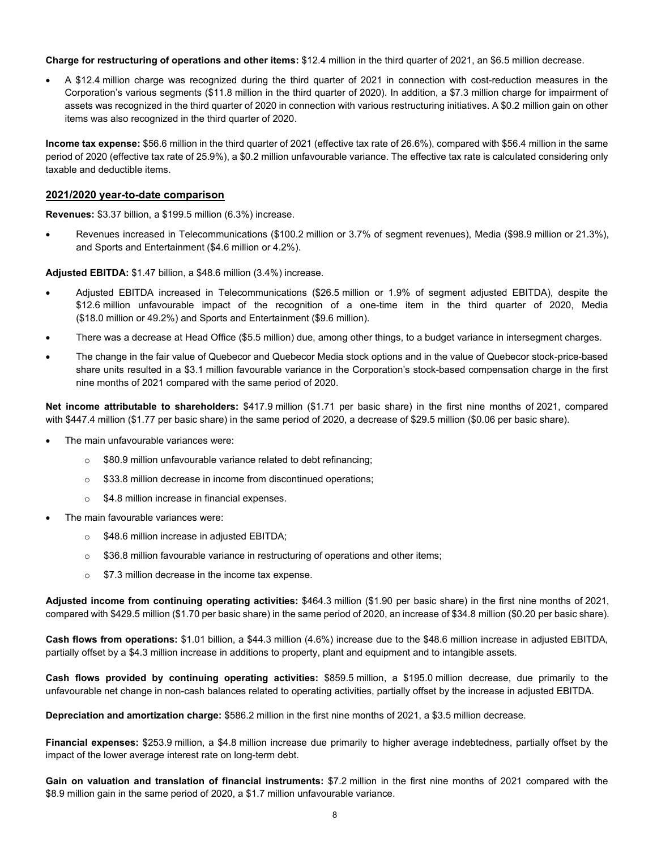**Charge for restructuring of operations and other items:** \$12.4 million in the third quarter of 2021, an \$6.5 million decrease.

• A \$12.4 million charge was recognized during the third quarter of 2021 in connection with cost-reduction measures in the Corporation's various segments (\$11.8 million in the third quarter of 2020). In addition, a \$7.3 million charge for impairment of assets was recognized in the third quarter of 2020 in connection with various restructuring initiatives. A \$0.2 million gain on other items was also recognized in the third quarter of 2020.

**Income tax expense:** \$56.6 million in the third quarter of 2021 (effective tax rate of 26.6%), compared with \$56.4 million in the same period of 2020 (effective tax rate of 25.9%), a \$0.2 million unfavourable variance. The effective tax rate is calculated considering only taxable and deductible items.

### **2021/2020 year-to-date comparison**

**Revenues:** \$3.37 billion, a \$199.5 million (6.3%) increase.

• Revenues increased in Telecommunications (\$100.2 million or 3.7% of segment revenues), Media (\$98.9 million or 21.3%), and Sports and Entertainment (\$4.6 million or 4.2%).

**Adjusted EBITDA:** \$1.47 billion, a \$48.6 million (3.4%) increase.

- Adjusted EBITDA increased in Telecommunications (\$26.5 million or 1.9% of segment adjusted EBITDA), despite the \$12.6 million unfavourable impact of the recognition of a one-time item in the third quarter of 2020, Media (\$18.0 million or 49.2%) and Sports and Entertainment (\$9.6 million).
- There was a decrease at Head Office (\$5.5 million) due, among other things, to a budget variance in intersegment charges.
- The change in the fair value of Quebecor and Quebecor Media stock options and in the value of Quebecor stock-price-based share units resulted in a \$3.1 million favourable variance in the Corporation's stock-based compensation charge in the first nine months of 2021 compared with the same period of 2020.

**Net income attributable to shareholders:** \$417.9 million (\$1.71 per basic share) in the first nine months of 2021, compared with \$447.4 million (\$1.77 per basic share) in the same period of 2020, a decrease of \$29.5 million (\$0.06 per basic share).

- The main unfavourable variances were:
	- o \$80.9 million unfavourable variance related to debt refinancing;
	- o \$33.8 million decrease in income from discontinued operations;
	- o \$4.8 million increase in financial expenses.
- The main favourable variances were:
	- o \$48.6 million increase in adjusted EBITDA;
	- $\circ$  \$36.8 million favourable variance in restructuring of operations and other items;
	- **S7.3 million decrease in the income tax expense.**

**Adjusted income from continuing operating activities:** \$464.3 million (\$1.90 per basic share) in the first nine months of 2021, compared with \$429.5 million (\$1.70 per basic share) in the same period of 2020, an increase of \$34.8 million (\$0.20 per basic share).

**Cash flows from operations:** \$1.01 billion, a \$44.3 million (4.6%) increase due to the \$48.6 million increase in adjusted EBITDA, partially offset by a \$4.3 million increase in additions to property, plant and equipment and to intangible assets.

**Cash flows provided by continuing operating activities:** \$859.5 million, a \$195.0 million decrease, due primarily to the unfavourable net change in non-cash balances related to operating activities, partially offset by the increase in adjusted EBITDA.

**Depreciation and amortization charge:** \$586.2 million in the first nine months of 2021, a \$3.5 million decrease.

**Financial expenses:** \$253.9 million, a \$4.8 million increase due primarily to higher average indebtedness, partially offset by the impact of the lower average interest rate on long-term debt.

**Gain on valuation and translation of financial instruments:** \$7.2 million in the first nine months of 2021 compared with the \$8.9 million gain in the same period of 2020, a \$1.7 million unfavourable variance.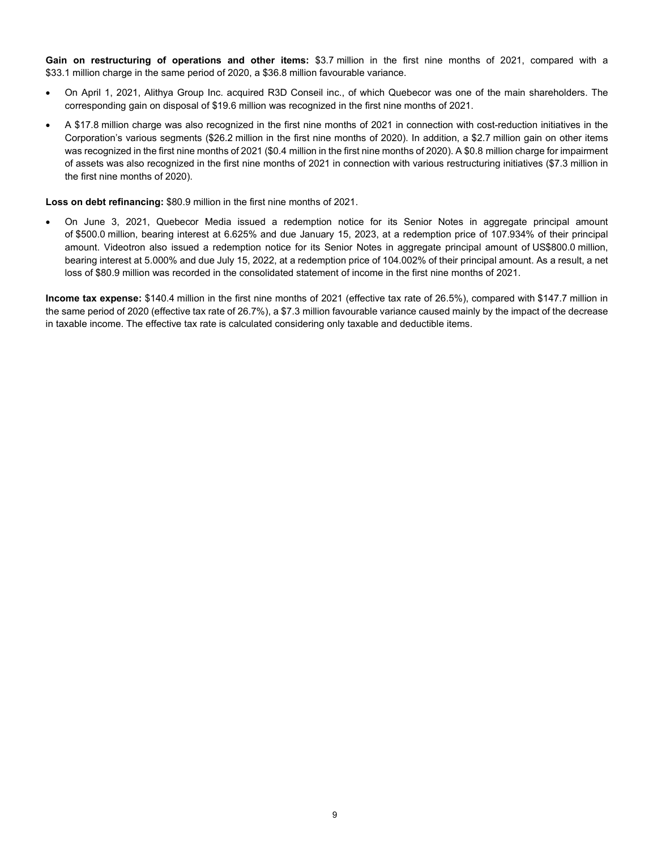**Gain on restructuring of operations and other items:** \$3.7 million in the first nine months of 2021, compared with a \$33.1 million charge in the same period of 2020, a \$36.8 million favourable variance.

- On April 1, 2021, Alithya Group Inc. acquired R3D Conseil inc., of which Quebecor was one of the main shareholders. The corresponding gain on disposal of \$19.6 million was recognized in the first nine months of 2021.
- A \$17.8 million charge was also recognized in the first nine months of 2021 in connection with cost-reduction initiatives in the Corporation's various segments (\$26.2 million in the first nine months of 2020). In addition, a \$2.7 million gain on other items was recognized in the first nine months of 2021 (\$0.4 million in the first nine months of 2020). A \$0.8 million charge for impairment of assets was also recognized in the first nine months of 2021 in connection with various restructuring initiatives (\$7.3 million in the first nine months of 2020).

**Loss on debt refinancing:** \$80.9 million in the first nine months of 2021.

• On June 3, 2021, Quebecor Media issued a redemption notice for its Senior Notes in aggregate principal amount of \$500.0 million, bearing interest at 6.625% and due January 15, 2023, at a redemption price of 107.934% of their principal amount. Videotron also issued a redemption notice for its Senior Notes in aggregate principal amount of US\$800.0 million, bearing interest at 5.000% and due July 15, 2022, at a redemption price of 104.002% of their principal amount. As a result, a net loss of \$80.9 million was recorded in the consolidated statement of income in the first nine months of 2021.

**Income tax expense:** \$140.4 million in the first nine months of 2021 (effective tax rate of 26.5%), compared with \$147.7 million in the same period of 2020 (effective tax rate of 26.7%), a \$7.3 million favourable variance caused mainly by the impact of the decrease in taxable income. The effective tax rate is calculated considering only taxable and deductible items.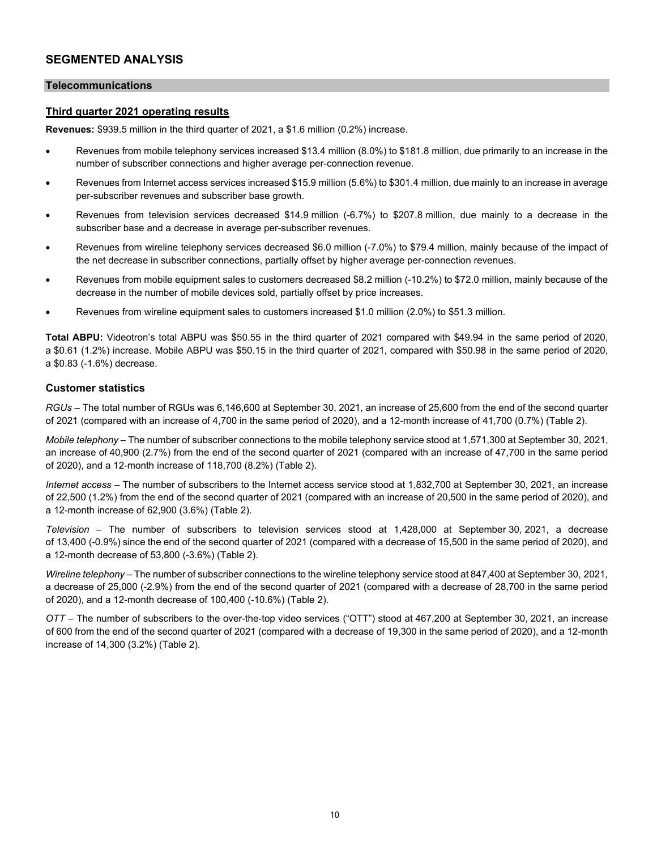### **SEGMENTED ANALYSIS**

### **Telecommunications**

### **Third quarter 2021 operating results**

**Revenues:** \$939.5 million in the third quarter of 2021, a \$1.6 million (0.2%) increase.

- Revenues from mobile telephony services increased \$13.4 million (8.0%) to \$181.8 million, due primarily to an increase in the number of subscriber connections and higher average per-connection revenue.
- Revenues from Internet access services increased \$15.9 million (5.6%) to \$301.4 million, due mainly to an increase in average per-subscriber revenues and subscriber base growth.
- Revenues from television services decreased \$14.9 million (-6.7%) to \$207.8 million, due mainly to a decrease in the subscriber base and a decrease in average per-subscriber revenues.
- Revenues from wireline telephony services decreased \$6.0 million (-7.0%) to \$79.4 million, mainly because of the impact of the net decrease in subscriber connections, partially offset by higher average per-connection revenues.
- Revenues from mobile equipment sales to customers decreased \$8.2 million (-10.2%) to \$72.0 million, mainly because of the decrease in the number of mobile devices sold, partially offset by price increases.
- Revenues from wireline equipment sales to customers increased \$1.0 million (2.0%) to \$51.3 million.

**Total ABPU:** Videotron's total ABPU was \$50.55 in the third quarter of 2021 compared with \$49.94 in the same period of 2020, a \$0.61 (1.2%) increase. Mobile ABPU was \$50.15 in the third quarter of 2021, compared with \$50.98 in the same period of 2020, a \$0.83 (-1.6%) decrease.

### **Customer statistics**

*RGUs –* The total number of RGUs was 6,146,600 at September 30, 2021, an increase of 25,600 from the end of the second quarter of 2021 (compared with an increase of 4,700 in the same period of 2020), and a 12-month increase of 41,700 (0.7%) (Table 2).

*Mobile telephony –* The number of subscriber connections to the mobile telephony service stood at 1,571,300 at September 30, 2021, an increase of 40,900 (2.7%) from the end of the second quarter of 2021 (compared with an increase of 47,700 in the same period of 2020), and a 12-month increase of 118,700 (8.2%) (Table 2).

*Internet access –* The number of subscribers to the Internet access service stood at 1,832,700 at September 30, 2021, an increase of 22,500 (1.2%) from the end of the second quarter of 2021 (compared with an increase of 20,500 in the same period of 2020), and a 12-month increase of 62,900 (3.6%) (Table 2).

*Television –* The number of subscribers to television services stood at 1,428,000 at September 30, 2021, a decrease of 13,400 (-0.9%) since the end of the second quarter of 2021 (compared with a decrease of 15,500 in the same period of 2020), and a 12-month decrease of 53,800 (-3.6%) (Table 2).

*Wireline telephony –* The number of subscriber connections to the wireline telephony service stood at 847,400 at September 30, 2021, a decrease of 25,000 (-2.9%) from the end of the second quarter of 2021 (compared with a decrease of 28,700 in the same period of 2020), and a 12-month decrease of 100,400 (-10.6%) (Table 2).

*OTT –* The number of subscribers to the over-the-top video services ("OTT") stood at 467,200 at September 30, 2021, an increase of 600 from the end of the second quarter of 2021 (compared with a decrease of 19,300 in the same period of 2020), and a 12-month increase of 14,300 (3.2%) (Table 2).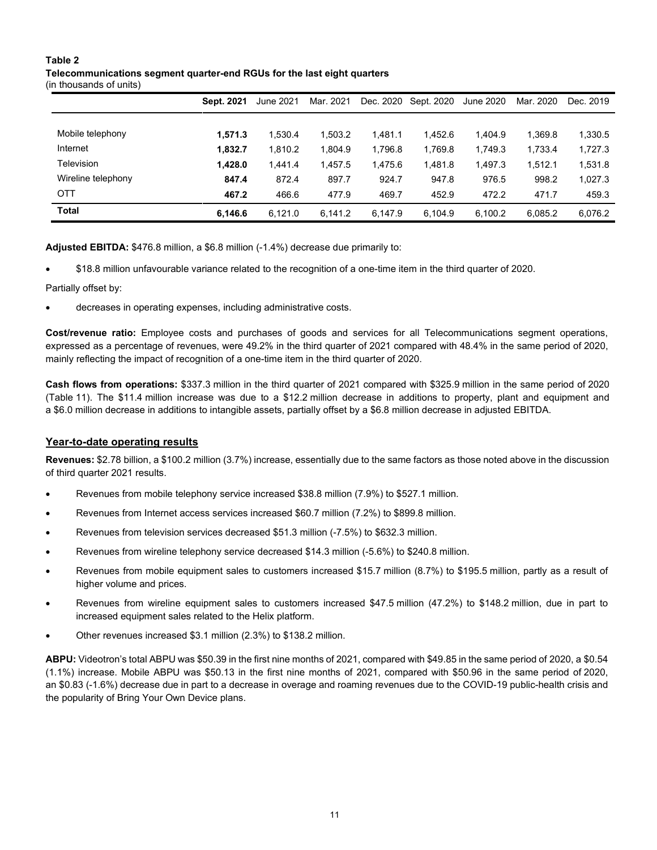### **Table 2 Telecommunications segment quarter-end RGUs for the last eight quarters**

(in thousands of units)

|                    | Sept. 2021 | June 2021 | Mar. 2021 | Dec. 2020 | Sept. 2020 | June 2020 | Mar. 2020 | Dec. 2019 |
|--------------------|------------|-----------|-----------|-----------|------------|-----------|-----------|-----------|
|                    |            |           |           |           |            |           |           |           |
| Mobile telephony   | 1.571.3    | 1.530.4   | 1.503.2   | 1.481.1   | 1.452.6    | 1.404.9   | 1.369.8   | 1,330.5   |
| Internet           | 1,832.7    | 1.810.2   | 1.804.9   | 1.796.8   | 1.769.8    | 1.749.3   | 1.733.4   | 1,727.3   |
| Television         | 1.428.0    | 1.441.4   | 1.457.5   | 1.475.6   | 1.481.8    | 1.497.3   | 1.512.1   | 1,531.8   |
| Wireline telephony | 847.4      | 872.4     | 897.7     | 924.7     | 947.8      | 976.5     | 998.2     | 1,027.3   |
| <b>OTT</b>         | 467.2      | 466.6     | 477.9     | 469.7     | 452.9      | 472.2     | 471.7     | 459.3     |
| <b>Total</b>       | 6,146.6    | 6,121.0   | 6,141.2   | 6,147.9   | 6.104.9    | 6.100.2   | 6,085.2   | 6,076.2   |

**Adjusted EBITDA:** \$476.8 million, a \$6.8 million (-1.4%) decrease due primarily to:

• \$18.8 million unfavourable variance related to the recognition of a one-time item in the third quarter of 2020.

Partially offset by:

decreases in operating expenses, including administrative costs.

**Cost/revenue ratio:** Employee costs and purchases of goods and services for all Telecommunications segment operations, expressed as a percentage of revenues, were 49.2% in the third quarter of 2021 compared with 48.4% in the same period of 2020, mainly reflecting the impact of recognition of a one-time item in the third quarter of 2020.

**Cash flows from operations:** \$337.3 million in the third quarter of 2021 compared with \$325.9 million in the same period of 2020 (Table 11). The \$11.4 million increase was due to a \$12.2 million decrease in additions to property, plant and equipment and a \$6.0 million decrease in additions to intangible assets, partially offset by a \$6.8 million decrease in adjusted EBITDA.

### **Year-to-date operating results**

**Revenues:** \$2.78 billion, a \$100.2 million (3.7%) increase, essentially due to the same factors as those noted above in the discussion of third quarter 2021 results.

- Revenues from mobile telephony service increased \$38.8 million (7.9%) to \$527.1 million.
- Revenues from Internet access services increased \$60.7 million (7.2%) to \$899.8 million.
- Revenues from television services decreased \$51.3 million (-7.5%) to \$632.3 million.
- Revenues from wireline telephony service decreased \$14.3 million (-5.6%) to \$240.8 million.
- Revenues from mobile equipment sales to customers increased \$15.7 million (8.7%) to \$195.5 million, partly as a result of higher volume and prices.
- Revenues from wireline equipment sales to customers increased \$47.5 million (47.2%) to \$148.2 million, due in part to increased equipment sales related to the Helix platform.
- Other revenues increased \$3.1 million (2.3%) to \$138.2 million.

**ABPU:** Videotron's total ABPU was \$50.39 in the first nine months of 2021, compared with \$49.85 in the same period of 2020, a \$0.54 (1.1%) increase. Mobile ABPU was \$50.13 in the first nine months of 2021, compared with \$50.96 in the same period of 2020, an \$0.83 (-1.6%) decrease due in part to a decrease in overage and roaming revenues due to the COVID-19 public-health crisis and the popularity of Bring Your Own Device plans.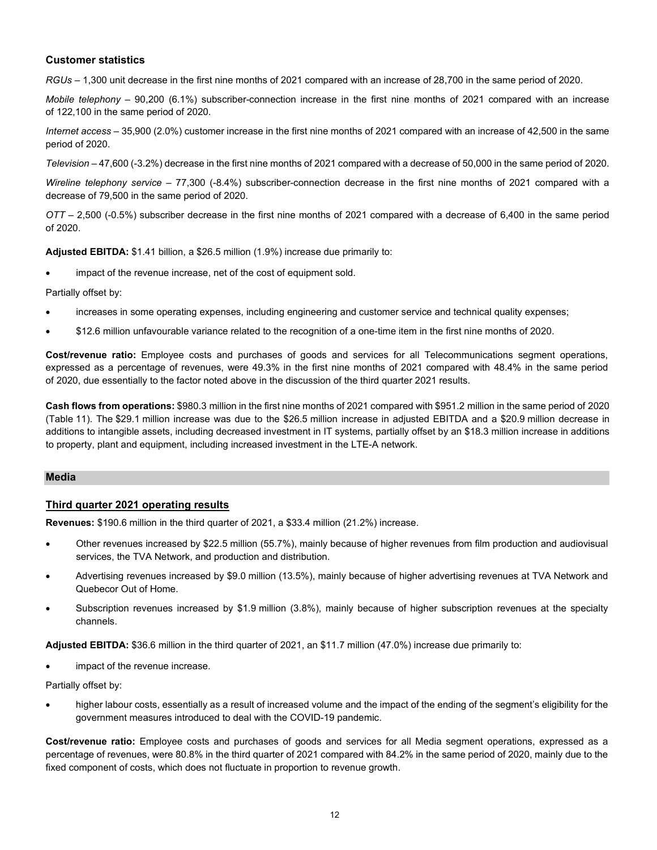### **Customer statistics**

*RGUs –* 1,300 unit decrease in the first nine months of 2021 compared with an increase of 28,700 in the same period of 2020.

*Mobile telephony –* 90,200 (6.1%) subscriber-connection increase in the first nine months of 2021 compared with an increase of 122,100 in the same period of 2020.

*Internet access –* 35,900 (2.0%) customer increase in the first nine months of 2021 compared with an increase of 42,500 in the same period of 2020.

*Television* – 47,600 (-3.2%) decrease in the first nine months of 2021 compared with a decrease of 50,000 in the same period of 2020.

*Wireline telephony service* – 77,300 (-8.4%) subscriber-connection decrease in the first nine months of 2021 compared with a decrease of 79,500 in the same period of 2020.

*OTT –* 2,500 (-0.5%) subscriber decrease in the first nine months of 2021 compared with a decrease of 6,400 in the same period of 2020.

**Adjusted EBITDA:** \$1.41 billion, a \$26.5 million (1.9%) increase due primarily to:

impact of the revenue increase, net of the cost of equipment sold.

Partially offset by:

- increases in some operating expenses, including engineering and customer service and technical quality expenses;
- \$12.6 million unfavourable variance related to the recognition of a one-time item in the first nine months of 2020.

**Cost/revenue ratio:** Employee costs and purchases of goods and services for all Telecommunications segment operations, expressed as a percentage of revenues, were 49.3% in the first nine months of 2021 compared with 48.4% in the same period of 2020, due essentially to the factor noted above in the discussion of the third quarter 2021 results.

**Cash flows from operations:** \$980.3 million in the first nine months of 2021 compared with \$951.2 million in the same period of 2020 (Table 11). The \$29.1 million increase was due to the \$26.5 million increase in adjusted EBITDA and a \$20.9 million decrease in additions to intangible assets, including decreased investment in IT systems, partially offset by an \$18.3 million increase in additions to property, plant and equipment, including increased investment in the LTE-A network.

### **Media**

### **Third quarter 2021 operating results**

**Revenues:** \$190.6 million in the third quarter of 2021, a \$33.4 million (21.2%) increase.

- Other revenues increased by \$22.5 million (55.7%), mainly because of higher revenues from film production and audiovisual services, the TVA Network, and production and distribution.
- Advertising revenues increased by \$9.0 million (13.5%), mainly because of higher advertising revenues at TVA Network and Quebecor Out of Home.
- Subscription revenues increased by \$1.9 million (3.8%), mainly because of higher subscription revenues at the specialty channels.

**Adjusted EBITDA:** \$36.6 million in the third quarter of 2021, an \$11.7 million (47.0%) increase due primarily to:

• impact of the revenue increase.

Partially offset by:

• higher labour costs, essentially as a result of increased volume and the impact of the ending of the segment's eligibility for the government measures introduced to deal with the COVID-19 pandemic.

**Cost/revenue ratio:** Employee costs and purchases of goods and services for all Media segment operations, expressed as a percentage of revenues, were 80.8% in the third quarter of 2021 compared with 84.2% in the same period of 2020, mainly due to the fixed component of costs, which does not fluctuate in proportion to revenue growth.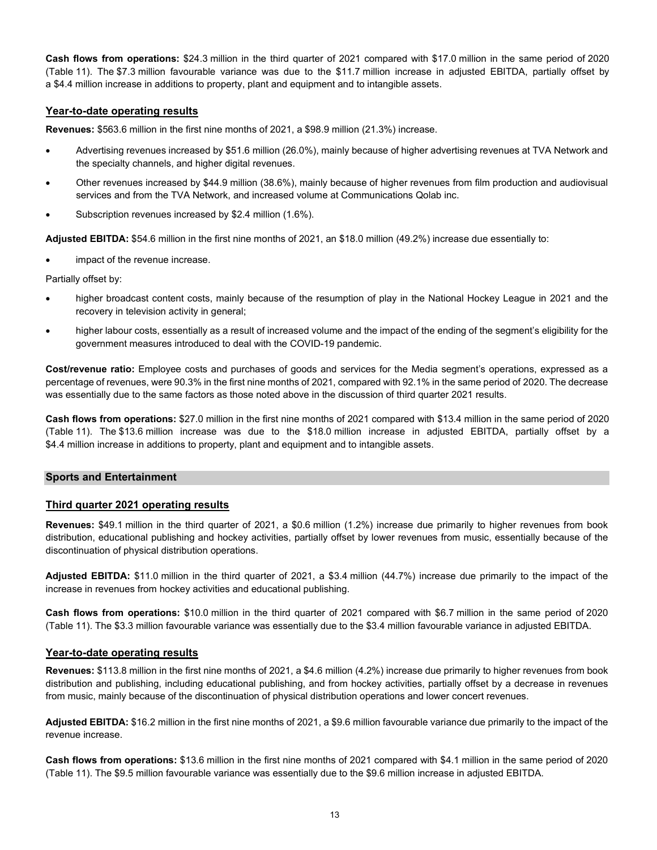**Cash flows from operations:** \$24.3 million in the third quarter of 2021 compared with \$17.0 million in the same period of 2020 (Table 11). The \$7.3 million favourable variance was due to the \$11.7 million increase in adjusted EBITDA, partially offset by a \$4.4 million increase in additions to property, plant and equipment and to intangible assets.

### **Year-to-date operating results**

**Revenues:** \$563.6 million in the first nine months of 2021, a \$98.9 million (21.3%) increase.

- Advertising revenues increased by \$51.6 million (26.0%), mainly because of higher advertising revenues at TVA Network and the specialty channels, and higher digital revenues.
- Other revenues increased by \$44.9 million (38.6%), mainly because of higher revenues from film production and audiovisual services and from the TVA Network, and increased volume at Communications Qolab inc.
- Subscription revenues increased by \$2.4 million (1.6%).

**Adjusted EBITDA:** \$54.6 million in the first nine months of 2021, an \$18.0 million (49.2%) increase due essentially to:

• impact of the revenue increase.

Partially offset by:

- higher broadcast content costs, mainly because of the resumption of play in the National Hockey League in 2021 and the recovery in television activity in general;
- higher labour costs, essentially as a result of increased volume and the impact of the ending of the segment's eligibility for the government measures introduced to deal with the COVID-19 pandemic.

**Cost/revenue ratio:** Employee costs and purchases of goods and services for the Media segment's operations, expressed as a percentage of revenues, were 90.3% in the first nine months of 2021, compared with 92.1% in the same period of 2020. The decrease was essentially due to the same factors as those noted above in the discussion of third quarter 2021 results.

**Cash flows from operations:** \$27.0 million in the first nine months of 2021 compared with \$13.4 million in the same period of 2020 (Table 11). The \$13.6 million increase was due to the \$18.0 million increase in adjusted EBITDA, partially offset by a \$4.4 million increase in additions to property, plant and equipment and to intangible assets.

### **Sports and Entertainment**

### **Third quarter 2021 operating results**

**Revenues:** \$49.1 million in the third quarter of 2021, a \$0.6 million (1.2%) increase due primarily to higher revenues from book distribution, educational publishing and hockey activities, partially offset by lower revenues from music, essentially because of the discontinuation of physical distribution operations.

**Adjusted EBITDA:** \$11.0 million in the third quarter of 2021, a \$3.4 million (44.7%) increase due primarily to the impact of the increase in revenues from hockey activities and educational publishing.

**Cash flows from operations:** \$10.0 million in the third quarter of 2021 compared with \$6.7 million in the same period of 2020 (Table 11). The \$3.3 million favourable variance was essentially due to the \$3.4 million favourable variance in adjusted EBITDA.

### **Year-to-date operating results**

**Revenues:** \$113.8 million in the first nine months of 2021, a \$4.6 million (4.2%) increase due primarily to higher revenues from book distribution and publishing, including educational publishing, and from hockey activities, partially offset by a decrease in revenues from music, mainly because of the discontinuation of physical distribution operations and lower concert revenues.

**Adjusted EBITDA:** \$16.2 million in the first nine months of 2021, a \$9.6 million favourable variance due primarily to the impact of the revenue increase.

**Cash flows from operations:** \$13.6 million in the first nine months of 2021 compared with \$4.1 million in the same period of 2020 (Table 11). The \$9.5 million favourable variance was essentially due to the \$9.6 million increase in adjusted EBITDA.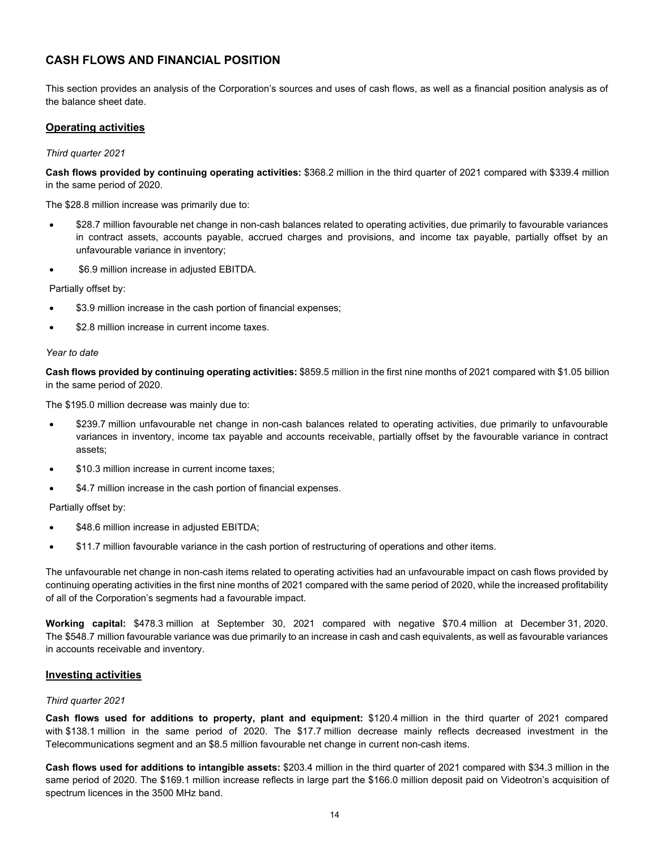### **CASH FLOWS AND FINANCIAL POSITION**

This section provides an analysis of the Corporation's sources and uses of cash flows, as well as a financial position analysis as of the balance sheet date.

### **Operating activities**

#### *Third quarter 2021*

**Cash flows provided by continuing operating activities:** \$368.2 million in the third quarter of 2021 compared with \$339.4 million in the same period of 2020.

The \$28.8 million increase was primarily due to:

- \$28.7 million favourable net change in non-cash balances related to operating activities, due primarily to favourable variances in contract assets, accounts payable, accrued charges and provisions, and income tax payable, partially offset by an unfavourable variance in inventory;
- \$6.9 million increase in adjusted EBITDA.

Partially offset by:

- \$3.9 million increase in the cash portion of financial expenses;
- \$2.8 million increase in current income taxes.

#### *Year to date*

**Cash flows provided by continuing operating activities:** \$859.5 million in the first nine months of 2021 compared with \$1.05 billion in the same period of 2020.

The \$195.0 million decrease was mainly due to:

- \$239.7 million unfavourable net change in non-cash balances related to operating activities, due primarily to unfavourable variances in inventory, income tax payable and accounts receivable, partially offset by the favourable variance in contract assets;
- \$10.3 million increase in current income taxes;
- \$4.7 million increase in the cash portion of financial expenses.

Partially offset by:

- \$48.6 million increase in adjusted EBITDA;
- \$11.7 million favourable variance in the cash portion of restructuring of operations and other items.

The unfavourable net change in non-cash items related to operating activities had an unfavourable impact on cash flows provided by continuing operating activities in the first nine months of 2021 compared with the same period of 2020, while the increased profitability of all of the Corporation's segments had a favourable impact.

**Working capital:** \$478.3 million at September 30, 2021 compared with negative \$70.4 million at December 31, 2020. The \$548.7 million favourable variance was due primarily to an increase in cash and cash equivalents, as well as favourable variances in accounts receivable and inventory.

#### **Investing activities**

#### *Third quarter 2021*

**Cash flows used for additions to property, plant and equipment:** \$120.4 million in the third quarter of 2021 compared with \$138.1 million in the same period of 2020. The \$17.7 million decrease mainly reflects decreased investment in the Telecommunications segment and an \$8.5 million favourable net change in current non-cash items.

**Cash flows used for additions to intangible assets:** \$203.4 million in the third quarter of 2021 compared with \$34.3 million in the same period of 2020. The \$169.1 million increase reflects in large part the \$166.0 million deposit paid on Videotron's acquisition of spectrum licences in the 3500 MHz band.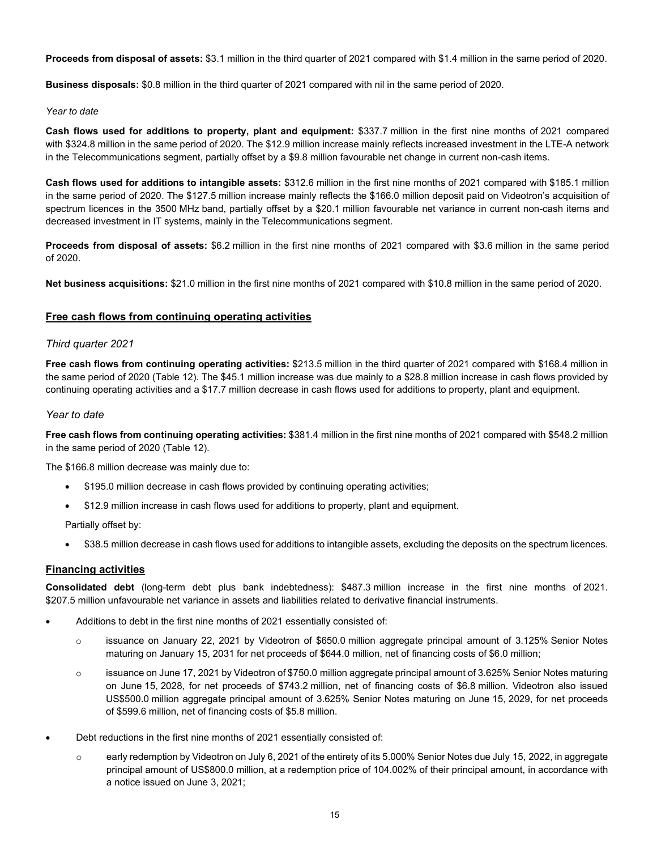**Proceeds from disposal of assets:** \$3.1 million in the third quarter of 2021 compared with \$1.4 million in the same period of 2020.

**Business disposals:** \$0.8 million in the third quarter of 2021 compared with nil in the same period of 2020.

### *Year to date*

**Cash flows used for additions to property, plant and equipment:** \$337.7 million in the first nine months of 2021 compared with \$324.8 million in the same period of 2020. The \$12.9 million increase mainly reflects increased investment in the LTE-A network in the Telecommunications segment, partially offset by a \$9.8 million favourable net change in current non-cash items.

**Cash flows used for additions to intangible assets:** \$312.6 million in the first nine months of 2021 compared with \$185.1 million in the same period of 2020. The \$127.5 million increase mainly reflects the \$166.0 million deposit paid on Videotron's acquisition of spectrum licences in the 3500 MHz band, partially offset by a \$20.1 million favourable net variance in current non-cash items and decreased investment in IT systems, mainly in the Telecommunications segment.

**Proceeds from disposal of assets:** \$6.2 million in the first nine months of 2021 compared with \$3.6 million in the same period of 2020.

**Net business acquisitions:** \$21.0 million in the first nine months of 2021 compared with \$10.8 million in the same period of 2020.

### **Free cash flows from continuing operating activities**

### *Third quarter 2021*

**Free cash flows from continuing operating activities:** \$213.5 million in the third quarter of 2021 compared with \$168.4 million in the same period of 2020 (Table 12). The \$45.1 million increase was due mainly to a \$28.8 million increase in cash flows provided by continuing operating activities and a \$17.7 million decrease in cash flows used for additions to property, plant and equipment.

### *Year to date*

**Free cash flows from continuing operating activities:** \$381.4 million in the first nine months of 2021 compared with \$548.2 million in the same period of 2020 (Table 12).

The \$166.8 million decrease was mainly due to:

- \$195.0 million decrease in cash flows provided by continuing operating activities;
- \$12.9 million increase in cash flows used for additions to property, plant and equipment.

Partially offset by:

• \$38.5 million decrease in cash flows used for additions to intangible assets, excluding the deposits on the spectrum licences.

### **Financing activities**

**Consolidated debt** (long-term debt plus bank indebtedness): \$487.3 million increase in the first nine months of 2021. \$207.5 million unfavourable net variance in assets and liabilities related to derivative financial instruments.

- Additions to debt in the first nine months of 2021 essentially consisted of:
	- o issuance on January 22, 2021 by Videotron of \$650.0 million aggregate principal amount of 3.125% Senior Notes maturing on January 15, 2031 for net proceeds of \$644.0 million, net of financing costs of \$6.0 million;
	- $\circ$  issuance on June 17, 2021 by Videotron of \$750.0 million aggregate principal amount of 3.625% Senior Notes maturing on June 15, 2028, for net proceeds of \$743.2 million, net of financing costs of \$6.8 million. Videotron also issued US\$500.0 million aggregate principal amount of 3.625% Senior Notes maturing on June 15, 2029, for net proceeds of \$599.6 million, net of financing costs of \$5.8 million.
- Debt reductions in the first nine months of 2021 essentially consisted of:
	- $\circ$  early redemption by Videotron on July 6, 2021 of the entirety of its 5.000% Senior Notes due July 15, 2022, in aggregate principal amount of US\$800.0 million, at a redemption price of 104.002% of their principal amount, in accordance with a notice issued on June 3, 2021;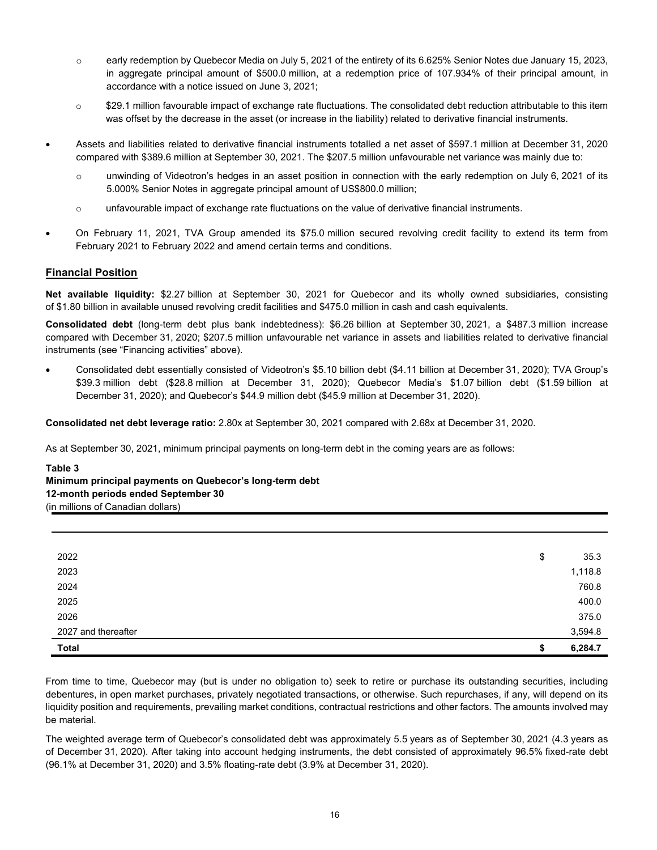- o early redemption by Quebecor Media on July 5, 2021 of the entirety of its 6.625% Senior Notes due January 15, 2023, in aggregate principal amount of \$500.0 million, at a redemption price of 107.934% of their principal amount, in accordance with a notice issued on June 3, 2021;
- o \$29.1 million favourable impact of exchange rate fluctuations. The consolidated debt reduction attributable to this item was offset by the decrease in the asset (or increase in the liability) related to derivative financial instruments.
- Assets and liabilities related to derivative financial instruments totalled a net asset of \$597.1 million at December 31, 2020 compared with \$389.6 million at September 30, 2021. The \$207.5 million unfavourable net variance was mainly due to:
	- o unwinding of Videotron's hedges in an asset position in connection with the early redemption on July 6, 2021 of its 5.000% Senior Notes in aggregate principal amount of US\$800.0 million;
	- $\circ$  unfavourable impact of exchange rate fluctuations on the value of derivative financial instruments.
- On February 11, 2021, TVA Group amended its \$75.0 million secured revolving credit facility to extend its term from February 2021 to February 2022 and amend certain terms and conditions.

### **Financial Position**

**Net available liquidity:** \$2.27 billion at September 30, 2021 for Quebecor and its wholly owned subsidiaries, consisting of \$1.80 billion in available unused revolving credit facilities and \$475.0 million in cash and cash equivalents.

**Consolidated debt** (long-term debt plus bank indebtedness): \$6.26 billion at September 30, 2021, a \$487.3 million increase compared with December 31, 2020; \$207.5 million unfavourable net variance in assets and liabilities related to derivative financial instruments (see "Financing activities" above).

• Consolidated debt essentially consisted of Videotron's \$5.10 billion debt (\$4.11 billion at December 31, 2020); TVA Group's \$39.3 million debt (\$28.8 million at December 31, 2020); Quebecor Media's \$1.07 billion debt (\$1.59 billion at December 31, 2020); and Quebecor's \$44.9 million debt (\$45.9 million at December 31, 2020).

**Consolidated net debt leverage ratio:** 2.80x at September 30, 2021 compared with 2.68x at December 31, 2020.

As at September 30, 2021, minimum principal payments on long-term debt in the coming years are as follows:

**Table 3 Minimum principal payments on Quebecor's long-term debt 12-month periods ended September 30** (in millions of Canadian dollars)

| 2022                | \$ | 35.3    |
|---------------------|----|---------|
| 2023                |    | 1,118.8 |
| 2024                |    | 760.8   |
| 2025                |    | 400.0   |
| 2026                |    | 375.0   |
| 2027 and thereafter |    | 3,594.8 |
| <b>Total</b>        | S  | 6,284.7 |

From time to time, Quebecor may (but is under no obligation to) seek to retire or purchase its outstanding securities, including debentures, in open market purchases, privately negotiated transactions, or otherwise. Such repurchases, if any, will depend on its liquidity position and requirements, prevailing market conditions, contractual restrictions and other factors. The amounts involved may be material.

The weighted average term of Quebecor's consolidated debt was approximately 5.5 years as of September 30, 2021 (4.3 years as of December 31, 2020). After taking into account hedging instruments, the debt consisted of approximately 96.5% fixed-rate debt (96.1% at December 31, 2020) and 3.5% floating-rate debt (3.9% at December 31, 2020).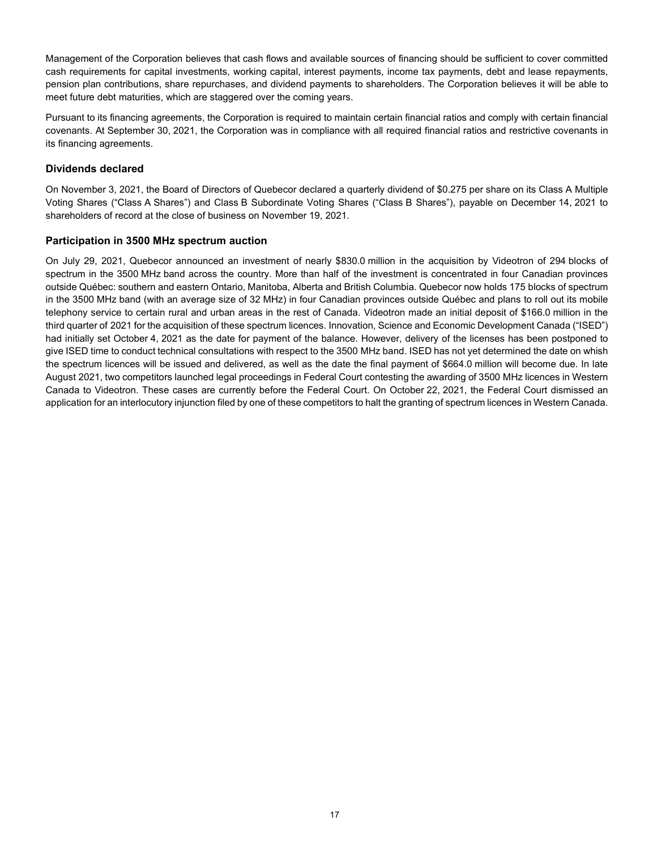Management of the Corporation believes that cash flows and available sources of financing should be sufficient to cover committed cash requirements for capital investments, working capital, interest payments, income tax payments, debt and lease repayments, pension plan contributions, share repurchases, and dividend payments to shareholders. The Corporation believes it will be able to meet future debt maturities, which are staggered over the coming years.

Pursuant to its financing agreements, the Corporation is required to maintain certain financial ratios and comply with certain financial covenants. At September 30, 2021, the Corporation was in compliance with all required financial ratios and restrictive covenants in its financing agreements.

### **Dividends declared**

On November 3, 2021, the Board of Directors of Quebecor declared a quarterly dividend of \$0.275 per share on its Class A Multiple Voting Shares ("Class A Shares") and Class B Subordinate Voting Shares ("Class B Shares"), payable on December 14, 2021 to shareholders of record at the close of business on November 19, 2021.

### **Participation in 3500 MHz spectrum auction**

On July 29, 2021, Quebecor announced an investment of nearly \$830.0 million in the acquisition by Videotron of 294 blocks of spectrum in the 3500 MHz band across the country. More than half of the investment is concentrated in four Canadian provinces outside Québec: southern and eastern Ontario, Manitoba, Alberta and British Columbia. Quebecor now holds 175 blocks of spectrum in the 3500 MHz band (with an average size of 32 MHz) in four Canadian provinces outside Québec and plans to roll out its mobile telephony service to certain rural and urban areas in the rest of Canada. Videotron made an initial deposit of \$166.0 million in the third quarter of 2021 for the acquisition of these spectrum licences. Innovation, Science and Economic Development Canada ("ISED") had initially set October 4, 2021 as the date for payment of the balance. However, delivery of the licenses has been postponed to give ISED time to conduct technical consultations with respect to the 3500 MHz band. ISED has not yet determined the date on whish the spectrum licences will be issued and delivered, as well as the date the final payment of \$664.0 million will become due. In late August 2021, two competitors launched legal proceedings in Federal Court contesting the awarding of 3500 MHz licences in Western Canada to Videotron. These cases are currently before the Federal Court. On October 22, 2021, the Federal Court dismissed an application for an interlocutory injunction filed by one of these competitors to halt the granting of spectrum licences in Western Canada.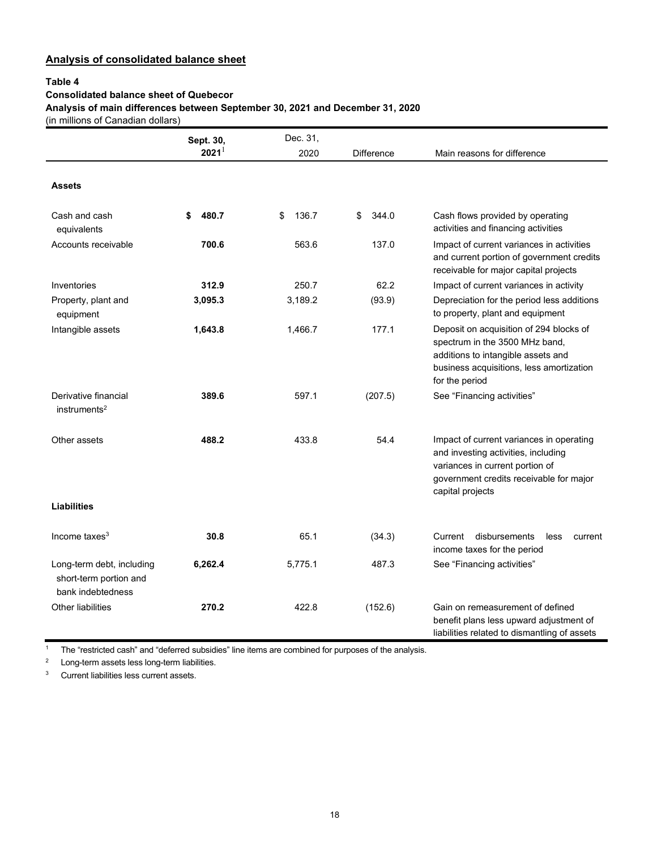### **Analysis of consolidated balance sheet**

### **Table 4**

### **Consolidated balance sheet of Quebecor**

**Analysis of main differences between September 30, 2021 and December 31, 2020**

(in millions of Canadian dollars)

|                                                                          | Sept. 30,   | Dec. 31,    |             |                                                                                                                                                                                   |
|--------------------------------------------------------------------------|-------------|-------------|-------------|-----------------------------------------------------------------------------------------------------------------------------------------------------------------------------------|
|                                                                          | $2021^1$    | 2020        | Difference  | Main reasons for difference                                                                                                                                                       |
| <b>Assets</b>                                                            |             |             |             |                                                                                                                                                                                   |
| Cash and cash<br>equivalents                                             | 480.7<br>\$ | \$<br>136.7 | \$<br>344.0 | Cash flows provided by operating<br>activities and financing activities                                                                                                           |
| Accounts receivable                                                      | 700.6       | 563.6       | 137.0       | Impact of current variances in activities<br>and current portion of government credits<br>receivable for major capital projects                                                   |
| Inventories                                                              | 312.9       | 250.7       | 62.2        | Impact of current variances in activity                                                                                                                                           |
| Property, plant and<br>equipment                                         | 3,095.3     | 3,189.2     | (93.9)      | Depreciation for the period less additions<br>to property, plant and equipment                                                                                                    |
| Intangible assets                                                        | 1,643.8     | 1,466.7     | 177.1       | Deposit on acquisition of 294 blocks of<br>spectrum in the 3500 MHz band,<br>additions to intangible assets and<br>business acquisitions, less amortization<br>for the period     |
| Derivative financial<br>$in$ struments <sup>2</sup>                      | 389.6       | 597.1       | (207.5)     | See "Financing activities"                                                                                                                                                        |
| Other assets                                                             | 488.2       | 433.8       | 54.4        | Impact of current variances in operating<br>and investing activities, including<br>variances in current portion of<br>government credits receivable for major<br>capital projects |
| <b>Liabilities</b>                                                       |             |             |             |                                                                                                                                                                                   |
| Income taxes $3$                                                         | 30.8        | 65.1        | (34.3)      | disbursements<br>Current<br>less<br>current<br>income taxes for the period                                                                                                        |
| Long-term debt, including<br>short-term portion and<br>bank indebtedness | 6,262.4     | 5,775.1     | 487.3       | See "Financing activities"                                                                                                                                                        |
| <b>Other liabilities</b>                                                 | 270.2       | 422.8       | (152.6)     | Gain on remeasurement of defined<br>benefit plans less upward adjustment of<br>liabilities related to dismantling of assets                                                       |

<sup>1</sup> The "restricted cash" and "deferred subsidies" line items are combined for purposes of the analysis.

<sup>2</sup> Long-term assets less long-term liabilities.

<sup>3</sup> Current liabilities less current assets.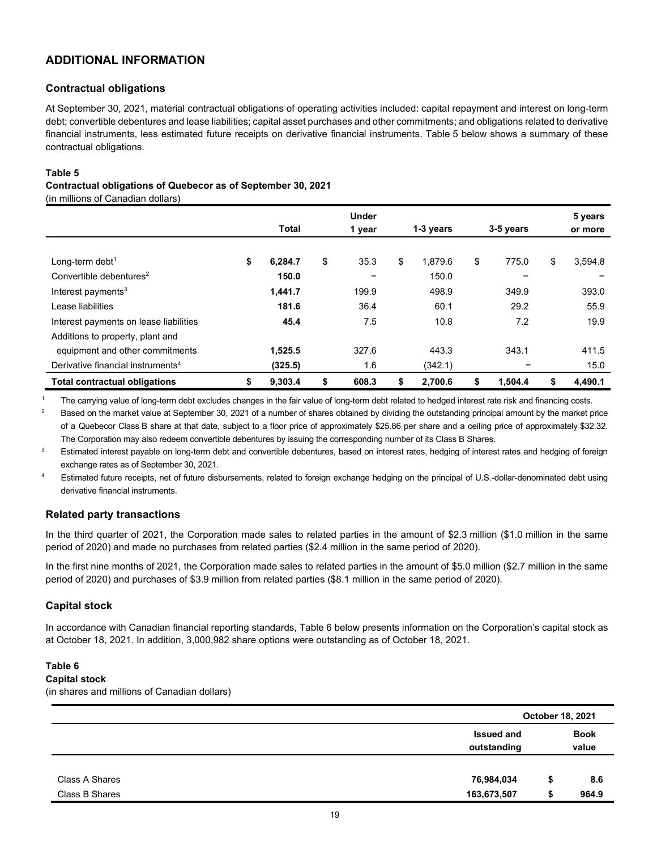### **ADDITIONAL INFORMATION**

### **Contractual obligations**

At September 30, 2021, material contractual obligations of operating activities included: capital repayment and interest on long-term debt; convertible debentures and lease liabilities; capital asset purchases and other commitments; and obligations related to derivative financial instruments, less estimated future receipts on derivative financial instruments. Table 5 below shows a summary of these contractual obligations.

### **Table 5**

### **Contractual obligations of Quebecor as of September 30, 2021**

(in millions of Canadian dollars)

|                                               | Total         | <b>Under</b><br>1 year | 1-3 years     |    | 3-5 years |    | 5 years<br>or more |
|-----------------------------------------------|---------------|------------------------|---------------|----|-----------|----|--------------------|
|                                               |               |                        |               |    |           |    |                    |
| Long-term debt <sup>1</sup>                   | \$<br>6.284.7 | \$<br>35.3             | \$<br>1.879.6 | \$ | 775.0     | \$ | 3,594.8            |
| Convertible debentures <sup>2</sup>           | 150.0         | -                      | 150.0         |    | -         |    |                    |
| Interest payments <sup>3</sup>                | 1.441.7       | 199.9                  | 498.9         |    | 349.9     |    | 393.0              |
| Lease liabilities                             | 181.6         | 36.4                   | 60.1          |    | 29.2      |    | 55.9               |
| Interest payments on lease liabilities        | 45.4          | 7.5                    | 10.8          |    | 7.2       |    | 19.9               |
| Additions to property, plant and              |               |                        |               |    |           |    |                    |
| equipment and other commitments               | 1,525.5       | 327.6                  | 443.3         |    | 343.1     |    | 411.5              |
| Derivative financial instruments <sup>4</sup> | (325.5)       | 1.6                    | (342.1)       |    |           |    | 15.0               |
| <b>Total contractual obligations</b>          | \$<br>9,303.4 | \$<br>608.3            | \$<br>2,700.6 | 5  | 1,504.4   | S  | 4,490.1            |

<sup>1</sup> The carrying value of long-term debt excludes changes in the fair value of long-term debt related to hedged interest rate risk and financing costs.

<sup>2</sup> Based on the market value at September 30, 2021 of a number of shares obtained by dividing the outstanding principal amount by the market price of a Quebecor Class B share at that date, subject to a floor price of approximately \$25.86 per share and a ceiling price of approximately \$32.32. The Corporation may also redeem convertible debentures by issuing the corresponding number of its Class B Shares.

<sup>3</sup> Estimated interest payable on long-term debt and convertible debentures, based on interest rates, hedging of interest rates and hedging of foreign exchange rates as of September 30, 2021.

<sup>4</sup> Estimated future receipts, net of future disbursements, related to foreign exchange hedging on the principal of U.S.-dollar-denominated debt using derivative financial instruments.

### **Related party transactions**

In the third quarter of 2021, the Corporation made sales to related parties in the amount of \$2.3 million (\$1.0 million in the same period of 2020) and made no purchases from related parties (\$2.4 million in the same period of 2020).

In the first nine months of 2021, the Corporation made sales to related parties in the amount of \$5.0 million (\$2.7 million in the same period of 2020) and purchases of \$3.9 million from related parties (\$8.1 million in the same period of 2020).

### **Capital stock**

In accordance with Canadian financial reporting standards, Table 6 below presents information on the Corporation's capital stock as at October 18, 2021. In addition, 3,000,982 share options were outstanding as of October 18, 2021.

### **Table 6**

### **Capital stock**

(in shares and millions of Canadian dollars)

|                |                                  | October 18, 2021     |
|----------------|----------------------------------|----------------------|
|                | <b>Issued and</b><br>outstanding | <b>Book</b><br>value |
| Class A Shares | 76,984,034                       | 8.6<br>\$            |
| Class B Shares | 163,673,507                      | 964.9                |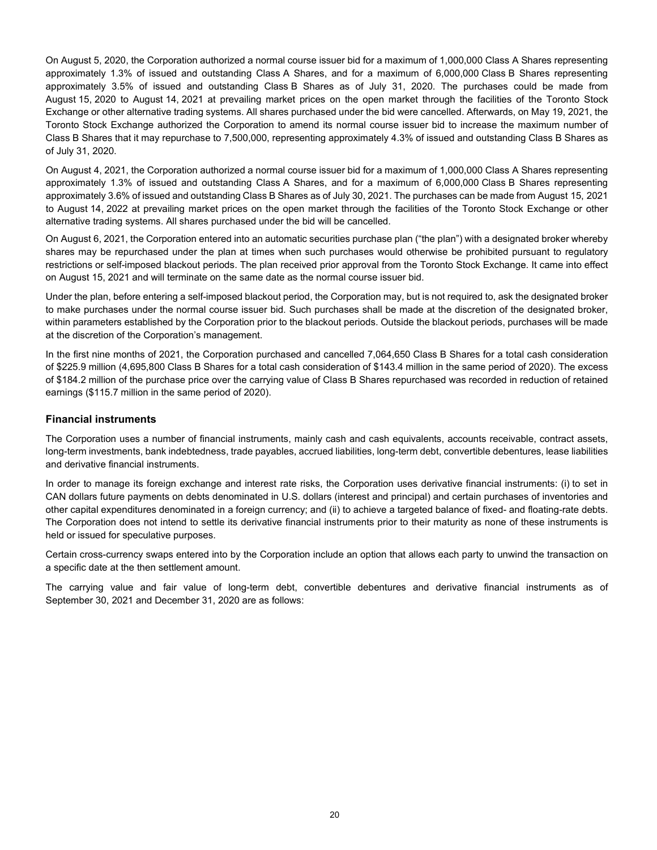On August 5, 2020, the Corporation authorized a normal course issuer bid for a maximum of 1,000,000 Class A Shares representing approximately 1.3% of issued and outstanding Class A Shares, and for a maximum of 6,000,000 Class B Shares representing approximately 3.5% of issued and outstanding Class B Shares as of July 31, 2020. The purchases could be made from August 15, 2020 to August 14, 2021 at prevailing market prices on the open market through the facilities of the Toronto Stock Exchange or other alternative trading systems. All shares purchased under the bid were cancelled. Afterwards, on May 19, 2021, the Toronto Stock Exchange authorized the Corporation to amend its normal course issuer bid to increase the maximum number of Class B Shares that it may repurchase to 7,500,000, representing approximately 4.3% of issued and outstanding Class B Shares as of July 31, 2020.

On August 4, 2021, the Corporation authorized a normal course issuer bid for a maximum of 1,000,000 Class A Shares representing approximately 1.3% of issued and outstanding Class A Shares, and for a maximum of 6,000,000 Class B Shares representing approximately 3.6% of issued and outstanding Class B Shares as of July 30, 2021. The purchases can be made from August 15, 2021 to August 14, 2022 at prevailing market prices on the open market through the facilities of the Toronto Stock Exchange or other alternative trading systems. All shares purchased under the bid will be cancelled.

On August 6, 2021, the Corporation entered into an automatic securities purchase plan ("the plan") with a designated broker whereby shares may be repurchased under the plan at times when such purchases would otherwise be prohibited pursuant to regulatory restrictions or self-imposed blackout periods. The plan received prior approval from the Toronto Stock Exchange. It came into effect on August 15, 2021 and will terminate on the same date as the normal course issuer bid.

Under the plan, before entering a self-imposed blackout period, the Corporation may, but is not required to, ask the designated broker to make purchases under the normal course issuer bid. Such purchases shall be made at the discretion of the designated broker, within parameters established by the Corporation prior to the blackout periods. Outside the blackout periods, purchases will be made at the discretion of the Corporation's management.

In the first nine months of 2021, the Corporation purchased and cancelled 7,064,650 Class B Shares for a total cash consideration of \$225.9 million (4,695,800 Class B Shares for a total cash consideration of \$143.4 million in the same period of 2020). The excess of \$184.2 million of the purchase price over the carrying value of Class B Shares repurchased was recorded in reduction of retained earnings (\$115.7 million in the same period of 2020).

### **Financial instruments**

The Corporation uses a number of financial instruments, mainly cash and cash equivalents, accounts receivable, contract assets, long-term investments, bank indebtedness, trade payables, accrued liabilities, long-term debt, convertible debentures, lease liabilities and derivative financial instruments.

In order to manage its foreign exchange and interest rate risks, the Corporation uses derivative financial instruments: (i) to set in CAN dollars future payments on debts denominated in U.S. dollars (interest and principal) and certain purchases of inventories and other capital expenditures denominated in a foreign currency; and (ii) to achieve a targeted balance of fixed- and floating-rate debts. The Corporation does not intend to settle its derivative financial instruments prior to their maturity as none of these instruments is held or issued for speculative purposes.

Certain cross-currency swaps entered into by the Corporation include an option that allows each party to unwind the transaction on a specific date at the then settlement amount.

The carrying value and fair value of long-term debt, convertible debentures and derivative financial instruments as of September 30, 2021 and December 31, 2020 are as follows: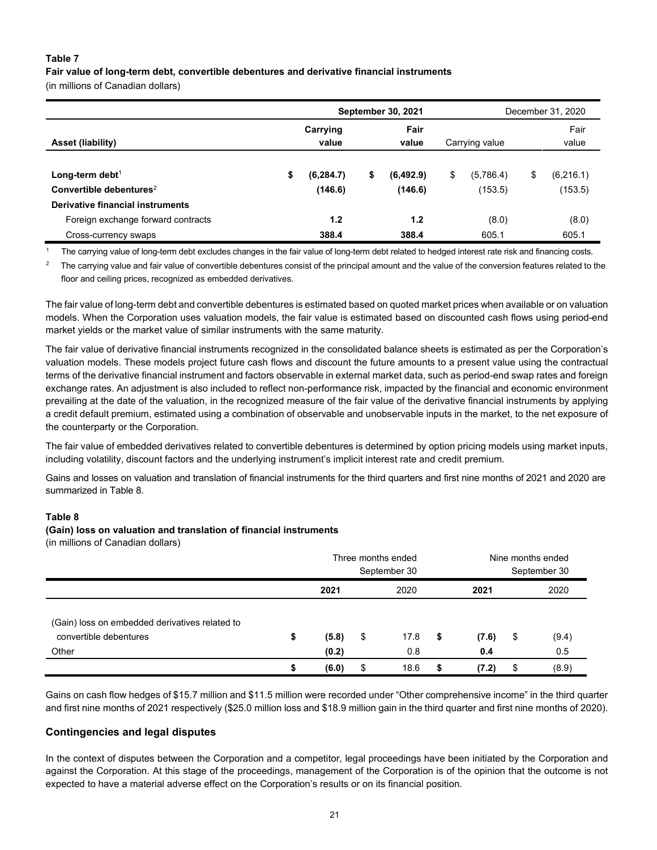### **Table 7**

**Fair value of long-term debt, convertible debentures and derivative financial instruments** 

(in millions of Canadian dollars)

|                                     |                   |            | <b>September 30, 2021</b> | December 31, 2020 |    |                |    |               |
|-------------------------------------|-------------------|------------|---------------------------|-------------------|----|----------------|----|---------------|
| Asset (liability)                   | Carrying<br>value |            |                           | Fair<br>value     |    | Carrying value |    | Fair<br>value |
| Long-term debt <sup>1</sup>         | \$                | (6, 284.7) | \$                        | (6, 492.9)        | \$ | (5,786.4)      | \$ | (6, 216.1)    |
| Convertible debentures <sup>2</sup> |                   | (146.6)    |                           | (146.6)           |    | (153.5)        |    | (153.5)       |
| Derivative financial instruments    |                   |            |                           |                   |    |                |    |               |
| Foreign exchange forward contracts  |                   | 1.2        |                           | 1.2               |    | (8.0)          |    | (8.0)         |
| Cross-currency swaps                |                   | 388.4      |                           | 388.4             |    | 605.1          |    | 605.1         |

<sup>1</sup> The carrying value of long-term debt excludes changes in the fair value of long-term debt related to hedged interest rate risk and financing costs.

<sup>2</sup> The carrying value and fair value of convertible debentures consist of the principal amount and the value of the conversion features related to the floor and ceiling prices, recognized as embedded derivatives.

The fair value of long-term debt and convertible debentures is estimated based on quoted market prices when available or on valuation models. When the Corporation uses valuation models, the fair value is estimated based on discounted cash flows using period-end market yields or the market value of similar instruments with the same maturity.

The fair value of derivative financial instruments recognized in the consolidated balance sheets is estimated as per the Corporation's valuation models. These models project future cash flows and discount the future amounts to a present value using the contractual terms of the derivative financial instrument and factors observable in external market data, such as period-end swap rates and foreign exchange rates. An adjustment is also included to reflect non-performance risk, impacted by the financial and economic environment prevailing at the date of the valuation, in the recognized measure of the fair value of the derivative financial instruments by applying a credit default premium, estimated using a combination of observable and unobservable inputs in the market, to the net exposure of the counterparty or the Corporation.

The fair value of embedded derivatives related to convertible debentures is determined by option pricing models using market inputs, including volatility, discount factors and the underlying instrument's implicit interest rate and credit premium.

Gains and losses on valuation and translation of financial instruments for the third quarters and first nine months of 2021 and 2020 are summarized in Table 8.

### **Table 8**

### **(Gain) loss on valuation and translation of financial instruments**

(in millions of Canadian dollars)

|                                                                                   |    | Three months ended<br>September 30 |    |             | Nine months ended<br>September 30 |              |    |              |
|-----------------------------------------------------------------------------------|----|------------------------------------|----|-------------|-----------------------------------|--------------|----|--------------|
|                                                                                   |    | 2021                               |    | 2020        |                                   | 2021         |    | 2020         |
| (Gain) loss on embedded derivatives related to<br>convertible debentures<br>Other | \$ | (5.8)<br>(0.2)                     | \$ | 17.8<br>0.8 | \$                                | (7.6)<br>0.4 | \$ | (9.4)<br>0.5 |
|                                                                                   | S  | (6.0)                              | \$ | 18.6        | S.                                | (7.2)        | \$ | (8.9)        |

Gains on cash flow hedges of \$15.7 million and \$11.5 million were recorded under "Other comprehensive income" in the third quarter and first nine months of 2021 respectively (\$25.0 million loss and \$18.9 million gain in the third quarter and first nine months of 2020).

### **Contingencies and legal disputes**

In the context of disputes between the Corporation and a competitor, legal proceedings have been initiated by the Corporation and against the Corporation. At this stage of the proceedings, management of the Corporation is of the opinion that the outcome is not expected to have a material adverse effect on the Corporation's results or on its financial position.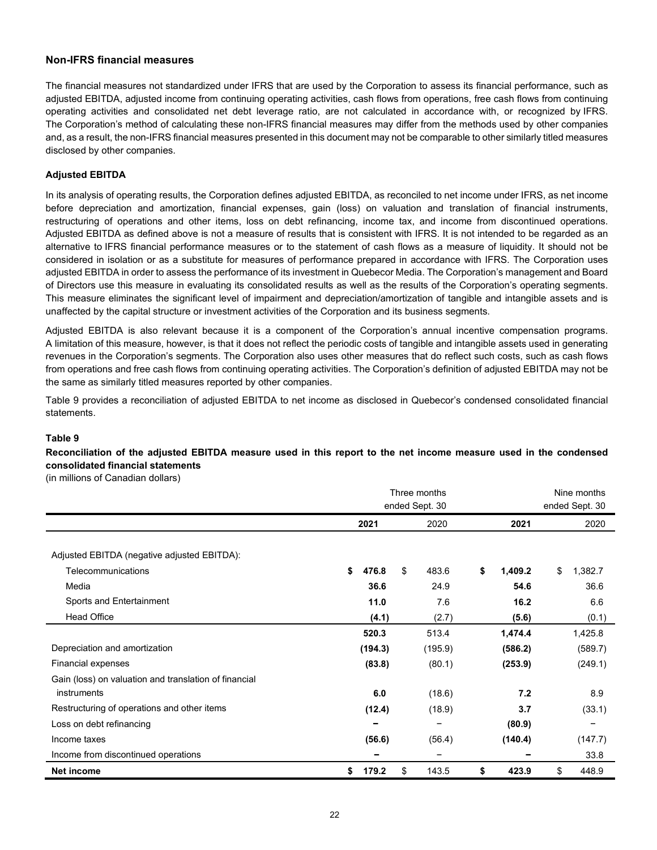### **Non-IFRS financial measures**

The financial measures not standardized under IFRS that are used by the Corporation to assess its financial performance, such as adjusted EBITDA, adjusted income from continuing operating activities, cash flows from operations, free cash flows from continuing operating activities and consolidated net debt leverage ratio, are not calculated in accordance with, or recognized by IFRS. The Corporation's method of calculating these non-IFRS financial measures may differ from the methods used by other companies and, as a result, the non-IFRS financial measures presented in this document may not be comparable to other similarly titled measures disclosed by other companies.

### **Adjusted EBITDA**

In its analysis of operating results, the Corporation defines adjusted EBITDA, as reconciled to net income under IFRS, as net income before depreciation and amortization, financial expenses, gain (loss) on valuation and translation of financial instruments, restructuring of operations and other items, loss on debt refinancing, income tax, and income from discontinued operations. Adjusted EBITDA as defined above is not a measure of results that is consistent with IFRS. It is not intended to be regarded as an alternative to IFRS financial performance measures or to the statement of cash flows as a measure of liquidity. It should not be considered in isolation or as a substitute for measures of performance prepared in accordance with IFRS. The Corporation uses adjusted EBITDA in order to assess the performance of its investment in Quebecor Media. The Corporation's management and Board of Directors use this measure in evaluating its consolidated results as well as the results of the Corporation's operating segments. This measure eliminates the significant level of impairment and depreciation/amortization of tangible and intangible assets and is unaffected by the capital structure or investment activities of the Corporation and its business segments.

Adjusted EBITDA is also relevant because it is a component of the Corporation's annual incentive compensation programs. A limitation of this measure, however, is that it does not reflect the periodic costs of tangible and intangible assets used in generating revenues in the Corporation's segments. The Corporation also uses other measures that do reflect such costs, such as cash flows from operations and free cash flows from continuing operating activities. The Corporation's definition of adjusted EBITDA may not be the same as similarly titled measures reported by other companies.

Table 9 provides a reconciliation of adjusted EBITDA to net income as disclosed in Quebecor's condensed consolidated financial statements.

#### **Table 9**

**Reconciliation of the adjusted EBITDA measure used in this report to the net income measure used in the condensed consolidated financial statements** 

(in millions of Canadian dollars)

|                                                       | Three months      |         | Nine months    |               |  |  |
|-------------------------------------------------------|-------------------|---------|----------------|---------------|--|--|
|                                                       | ended Sept. 30    |         | ended Sept. 30 |               |  |  |
|                                                       | 2021              | 2020    | 2021           | 2020          |  |  |
| Adjusted EBITDA (negative adjusted EBITDA):           |                   |         |                |               |  |  |
| Telecommunications                                    | 476.8<br>\$<br>\$ | 483.6   | \$<br>1,409.2  | \$<br>1,382.7 |  |  |
| Media                                                 | 36.6              | 24.9    | 54.6           | 36.6          |  |  |
| Sports and Entertainment                              | 11.0              | 7.6     | 16.2           | 6.6           |  |  |
| Head Office                                           | (4.1)             | (2.7)   | (5.6)          | (0.1)         |  |  |
|                                                       | 520.3             | 513.4   | 1,474.4        | 1,425.8       |  |  |
| Depreciation and amortization                         | (194.3)           | (195.9) | (586.2)        | (589.7)       |  |  |
| Financial expenses                                    | (83.8)            | (80.1)  | (253.9)        | (249.1)       |  |  |
| Gain (loss) on valuation and translation of financial |                   |         |                |               |  |  |
| instruments                                           | 6.0               | (18.6)  | 7.2            | 8.9           |  |  |
| Restructuring of operations and other items           | (12.4)            | (18.9)  | 3.7            | (33.1)        |  |  |
| Loss on debt refinancing                              |                   |         | (80.9)         |               |  |  |
| Income taxes                                          | (56.6)            | (56.4)  | (140.4)        | (147.7)       |  |  |
| Income from discontinued operations                   |                   |         |                | 33.8          |  |  |
| Net income                                            | \$<br>\$<br>179.2 | 143.5   | \$<br>423.9    | \$<br>448.9   |  |  |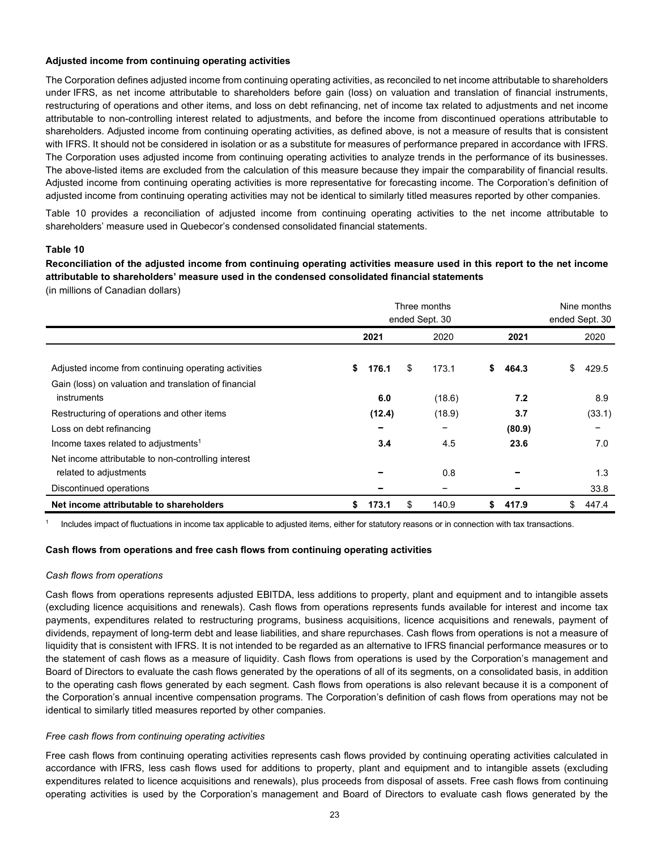### **Adjusted income from continuing operating activities**

The Corporation defines adjusted income from continuing operating activities, as reconciled to net income attributable to shareholders under IFRS, as net income attributable to shareholders before gain (loss) on valuation and translation of financial instruments, restructuring of operations and other items, and loss on debt refinancing, net of income tax related to adjustments and net income attributable to non-controlling interest related to adjustments, and before the income from discontinued operations attributable to shareholders. Adjusted income from continuing operating activities, as defined above, is not a measure of results that is consistent with IFRS. It should not be considered in isolation or as a substitute for measures of performance prepared in accordance with IFRS. The Corporation uses adjusted income from continuing operating activities to analyze trends in the performance of its businesses. The above-listed items are excluded from the calculation of this measure because they impair the comparability of financial results. Adjusted income from continuing operating activities is more representative for forecasting income. The Corporation's definition of adjusted income from continuing operating activities may not be identical to similarly titled measures reported by other companies.

Table 10 provides a reconciliation of adjusted income from continuing operating activities to the net income attributable to shareholders' measure used in Quebecor's condensed consolidated financial statements.

### **Table 10**

**Reconciliation of the adjusted income from continuing operating activities measure used in this report to the net income attributable to shareholders' measure used in the condensed consolidated financial statements**

(in millions of Canadian dollars)

|                                                                      | Three months<br>ended Sept. 30 |        |    |                          |    |        | Nine months<br>ended Sept. 30 |        |  |
|----------------------------------------------------------------------|--------------------------------|--------|----|--------------------------|----|--------|-------------------------------|--------|--|
|                                                                      | 2021                           |        |    | 2020                     |    | 2021   |                               | 2020   |  |
| Adjusted income from continuing operating activities                 | \$                             | 176.1  | \$ | 173.1                    | s. | 464.3  | \$                            | 429.5  |  |
| Gain (loss) on valuation and translation of financial<br>instruments |                                | 6.0    |    | (18.6)                   |    | 7.2    |                               | 8.9    |  |
| Restructuring of operations and other items                          |                                | (12.4) |    | (18.9)                   |    | 3.7    |                               | (33.1) |  |
| Loss on debt refinancing                                             |                                |        |    |                          |    | (80.9) |                               |        |  |
| Income taxes related to adjustments <sup>1</sup>                     |                                | 3.4    |    | 4.5                      |    | 23.6   |                               | 7.0    |  |
| Net income attributable to non-controlling interest                  |                                |        |    |                          |    |        |                               |        |  |
| related to adjustments                                               |                                |        |    | 0.8                      |    |        |                               | 1.3    |  |
| Discontinued operations                                              |                                |        |    | $\overline{\phantom{0}}$ |    |        |                               | 33.8   |  |
| Net income attributable to shareholders                              | \$                             | 173.1  | \$ | 140.9                    | \$ | 417.9  | \$                            | 447.4  |  |

<sup>1</sup> Includes impact of fluctuations in income tax applicable to adjusted items, either for statutory reasons or in connection with tax transactions.

### **Cash flows from operations and free cash flows from continuing operating activities**

### *Cash flows from operations*

Cash flows from operations represents adjusted EBITDA, less additions to property, plant and equipment and to intangible assets (excluding licence acquisitions and renewals). Cash flows from operations represents funds available for interest and income tax payments, expenditures related to restructuring programs, business acquisitions, licence acquisitions and renewals, payment of dividends, repayment of long-term debt and lease liabilities, and share repurchases. Cash flows from operations is not a measure of liquidity that is consistent with IFRS. It is not intended to be regarded as an alternative to IFRS financial performance measures or to the statement of cash flows as a measure of liquidity. Cash flows from operations is used by the Corporation's management and Board of Directors to evaluate the cash flows generated by the operations of all of its segments, on a consolidated basis, in addition to the operating cash flows generated by each segment. Cash flows from operations is also relevant because it is a component of the Corporation's annual incentive compensation programs. The Corporation's definition of cash flows from operations may not be identical to similarly titled measures reported by other companies.

### *Free cash flows from continuing operating activities*

Free cash flows from continuing operating activities represents cash flows provided by continuing operating activities calculated in accordance with IFRS, less cash flows used for additions to property, plant and equipment and to intangible assets (excluding expenditures related to licence acquisitions and renewals), plus proceeds from disposal of assets. Free cash flows from continuing operating activities is used by the Corporation's management and Board of Directors to evaluate cash flows generated by the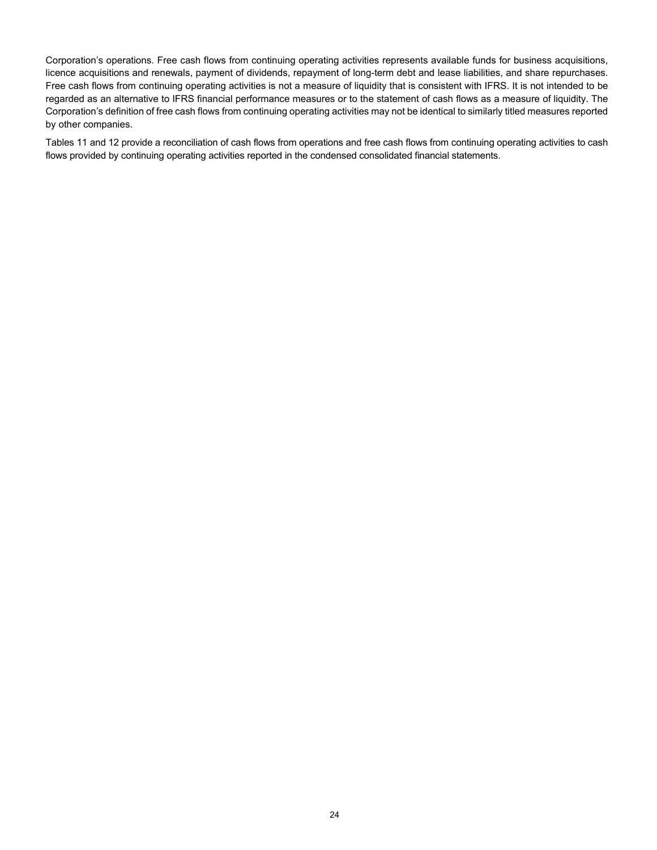Corporation's operations. Free cash flows from continuing operating activities represents available funds for business acquisitions, licence acquisitions and renewals, payment of dividends, repayment of long-term debt and lease liabilities, and share repurchases. Free cash flows from continuing operating activities is not a measure of liquidity that is consistent with IFRS. It is not intended to be regarded as an alternative to IFRS financial performance measures or to the statement of cash flows as a measure of liquidity. The Corporation's definition of free cash flows from continuing operating activities may not be identical to similarly titled measures reported by other companies.

Tables 11 and 12 provide a reconciliation of cash flows from operations and free cash flows from continuing operating activities to cash flows provided by continuing operating activities reported in the condensed consolidated financial statements.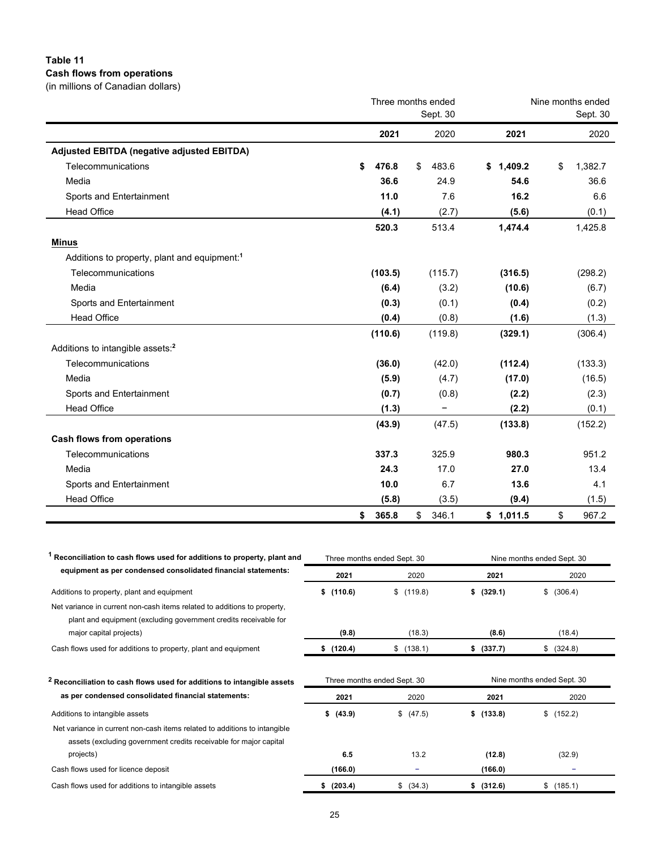### **Table 11 Cash flows from operations**  (in millions of Canadian dollars)

| (In millions of Ganagian gollars).                       |                    |                          |                   |               |  |  |
|----------------------------------------------------------|--------------------|--------------------------|-------------------|---------------|--|--|
|                                                          | Three months ended |                          | Nine months ended |               |  |  |
|                                                          |                    | Sept. 30                 |                   | Sept. 30      |  |  |
|                                                          | 2021               | 2020                     | 2021              | 2020          |  |  |
| Adjusted EBITDA (negative adjusted EBITDA)               |                    |                          |                   |               |  |  |
| Telecommunications                                       | \$<br>476.8        | 483.6<br>\$              | 1,409.2<br>S.     | \$<br>1,382.7 |  |  |
| Media                                                    | 36.6               | 24.9                     | 54.6              | 36.6          |  |  |
| Sports and Entertainment                                 | 11.0               | 7.6                      | 16.2              | 6.6           |  |  |
| <b>Head Office</b>                                       | (4.1)              | (2.7)                    | (5.6)             | (0.1)         |  |  |
|                                                          | 520.3              | 513.4                    | 1,474.4           | 1,425.8       |  |  |
| <b>Minus</b>                                             |                    |                          |                   |               |  |  |
| Additions to property, plant and equipment: <sup>1</sup> |                    |                          |                   |               |  |  |
| Telecommunications                                       | (103.5)            | (115.7)                  | (316.5)           | (298.2)       |  |  |
| Media                                                    | (6.4)              | (3.2)                    | (10.6)            | (6.7)         |  |  |
| Sports and Entertainment                                 | (0.3)              | (0.1)                    | (0.4)             | (0.2)         |  |  |
| <b>Head Office</b>                                       | (0.4)              | (0.8)                    | (1.6)             | (1.3)         |  |  |
|                                                          | (110.6)            | (119.8)                  | (329.1)           | (306.4)       |  |  |
| Additions to intangible assets: <sup>2</sup>             |                    |                          |                   |               |  |  |
| Telecommunications                                       | (36.0)             | (42.0)                   | (112.4)           | (133.3)       |  |  |
| Media                                                    | (5.9)              | (4.7)                    | (17.0)            | (16.5)        |  |  |
| Sports and Entertainment                                 | (0.7)              | (0.8)                    | (2.2)             | (2.3)         |  |  |
| <b>Head Office</b>                                       | (1.3)              | $\overline{\phantom{0}}$ | (2.2)             | (0.1)         |  |  |
|                                                          | (43.9)             | (47.5)                   | (133.8)           | (152.2)       |  |  |
| <b>Cash flows from operations</b>                        |                    |                          |                   |               |  |  |
| Telecommunications                                       | 337.3              | 325.9                    | 980.3             | 951.2         |  |  |
| Media                                                    | 24.3               | 17.0                     | 27.0              | 13.4          |  |  |
| Sports and Entertainment                                 | 10.0               | 6.7                      | 13.6              | 4.1           |  |  |
| <b>Head Office</b>                                       | (5.8)              | (3.5)                    | (9.4)             | (1.5)         |  |  |
|                                                          | \$<br>365.8        | \$<br>346.1              | \$1,011.5         | \$<br>967.2   |  |  |

| Reconciliation to cash flows used for additions to property, plant and                                                                         |               | Three months ended Sept. 30         | Nine months ended Sept. 30                 |               |  |  |
|------------------------------------------------------------------------------------------------------------------------------------------------|---------------|-------------------------------------|--------------------------------------------|---------------|--|--|
| equipment as per condensed consolidated financial statements:                                                                                  | 2021          | 2020                                | 2021                                       | 2020          |  |  |
| Additions to property, plant and equipment                                                                                                     | \$(110.6)     | \$(119.8)                           | \$ (329.1)                                 | (306.4)<br>\$ |  |  |
| Net variance in current non-cash items related to additions to property.<br>plant and equipment (excluding government credits receivable for   |               |                                     |                                            |               |  |  |
| major capital projects)                                                                                                                        | (9.8)         | (18.3)                              | (8.6)                                      | (18.4)        |  |  |
| Cash flows used for additions to property, plant and equipment                                                                                 | \$(120.4)     | \$(138.1)                           | \$ (337.7)                                 | \$ (324.8)    |  |  |
| <sup>2</sup> Reconciliation to cash flows used for additions to intangible assets<br>as per condensed consolidated financial statements:       | 2021          | Three months ended Sept. 30<br>2020 | Nine months ended Sept. 30<br>2021<br>2020 |               |  |  |
|                                                                                                                                                |               |                                     |                                            |               |  |  |
| Additions to intangible assets                                                                                                                 | \$ (43.9)     | \$ (47.5)                           | \$(133.8)                                  | (152.2)<br>\$ |  |  |
| Net variance in current non-cash items related to additions to intangible<br>assets (excluding government credits receivable for major capital |               |                                     |                                            |               |  |  |
| projects)                                                                                                                                      | 6.5           | 13.2                                | (12.8)                                     | (32.9)        |  |  |
| Cash flows used for licence deposit                                                                                                            | (166.0)       | -                                   | (166.0)                                    | -             |  |  |
| Cash flows used for additions to intangible assets                                                                                             | (203.4)<br>\$ | \$ (34.3)                           | \$ (312.6)                                 | (185.1)<br>\$ |  |  |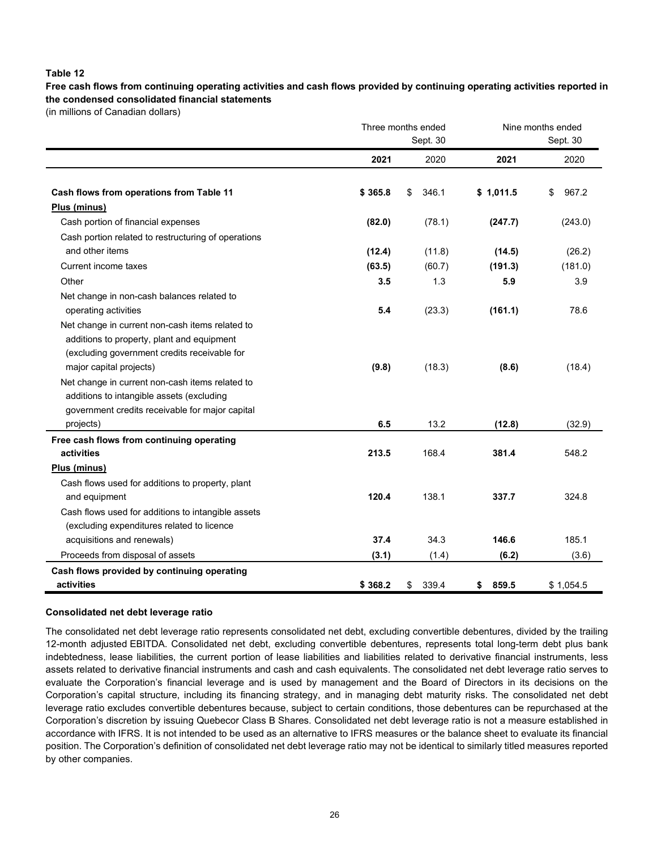### **Table 12**

**Free cash flows from continuing operating activities and cash flows provided by continuing operating activities reported in the condensed consolidated financial statements**

(in millions of Canadian dollars)

|                                                     |         | Three months ended<br>Sept. 30 | Nine months ended<br>Sept. 30 |             |  |  |
|-----------------------------------------------------|---------|--------------------------------|-------------------------------|-------------|--|--|
|                                                     | 2021    | 2020                           | 2021                          | 2020        |  |  |
| Cash flows from operations from Table 11            | \$365.8 | \$<br>346.1                    | \$1,011.5                     | \$<br>967.2 |  |  |
| Plus (minus)                                        |         |                                |                               |             |  |  |
| Cash portion of financial expenses                  | (82.0)  | (78.1)                         | (247.7)                       | (243.0)     |  |  |
| Cash portion related to restructuring of operations |         |                                |                               |             |  |  |
| and other items                                     | (12.4)  | (11.8)                         | (14.5)                        | (26.2)      |  |  |
| Current income taxes                                | (63.5)  | (60.7)                         | (191.3)                       | (181.0)     |  |  |
| Other                                               | 3.5     | 1.3                            | 5.9                           | 3.9         |  |  |
| Net change in non-cash balances related to          |         |                                |                               |             |  |  |
| operating activities                                | 5.4     | (23.3)                         | (161.1)                       | 78.6        |  |  |
| Net change in current non-cash items related to     |         |                                |                               |             |  |  |
| additions to property, plant and equipment          |         |                                |                               |             |  |  |
| (excluding government credits receivable for        |         |                                |                               |             |  |  |
| major capital projects)                             | (9.8)   | (18.3)                         | (8.6)                         | (18.4)      |  |  |
| Net change in current non-cash items related to     |         |                                |                               |             |  |  |
| additions to intangible assets (excluding           |         |                                |                               |             |  |  |
| government credits receivable for major capital     |         |                                |                               |             |  |  |
| projects)                                           | 6.5     | 13.2                           | (12.8)                        | (32.9)      |  |  |
| Free cash flows from continuing operating           |         |                                |                               |             |  |  |
| activities                                          | 213.5   | 168.4                          | 381.4                         | 548.2       |  |  |
| Plus (minus)                                        |         |                                |                               |             |  |  |
| Cash flows used for additions to property, plant    |         |                                |                               |             |  |  |
| and equipment                                       | 120.4   | 138.1                          | 337.7                         | 324.8       |  |  |
| Cash flows used for additions to intangible assets  |         |                                |                               |             |  |  |
| (excluding expenditures related to licence          |         |                                |                               |             |  |  |
| acquisitions and renewals)                          | 37.4    | 34.3                           | 146.6                         | 185.1       |  |  |
| Proceeds from disposal of assets                    | (3.1)   | (1.4)                          | (6.2)                         | (3.6)       |  |  |
| Cash flows provided by continuing operating         |         |                                |                               |             |  |  |
| activities                                          | \$368.2 | 339.4<br>\$                    | 859.5<br>\$                   | \$1,054.5   |  |  |

#### **Consolidated net debt leverage ratio**

The consolidated net debt leverage ratio represents consolidated net debt, excluding convertible debentures, divided by the trailing 12-month adjusted EBITDA. Consolidated net debt, excluding convertible debentures, represents total long-term debt plus bank indebtedness, lease liabilities, the current portion of lease liabilities and liabilities related to derivative financial instruments, less assets related to derivative financial instruments and cash and cash equivalents. The consolidated net debt leverage ratio serves to evaluate the Corporation's financial leverage and is used by management and the Board of Directors in its decisions on the Corporation's capital structure, including its financing strategy, and in managing debt maturity risks. The consolidated net debt leverage ratio excludes convertible debentures because, subject to certain conditions, those debentures can be repurchased at the Corporation's discretion by issuing Quebecor Class B Shares. Consolidated net debt leverage ratio is not a measure established in accordance with IFRS. It is not intended to be used as an alternative to IFRS measures or the balance sheet to evaluate its financial position. The Corporation's definition of consolidated net debt leverage ratio may not be identical to similarly titled measures reported by other companies.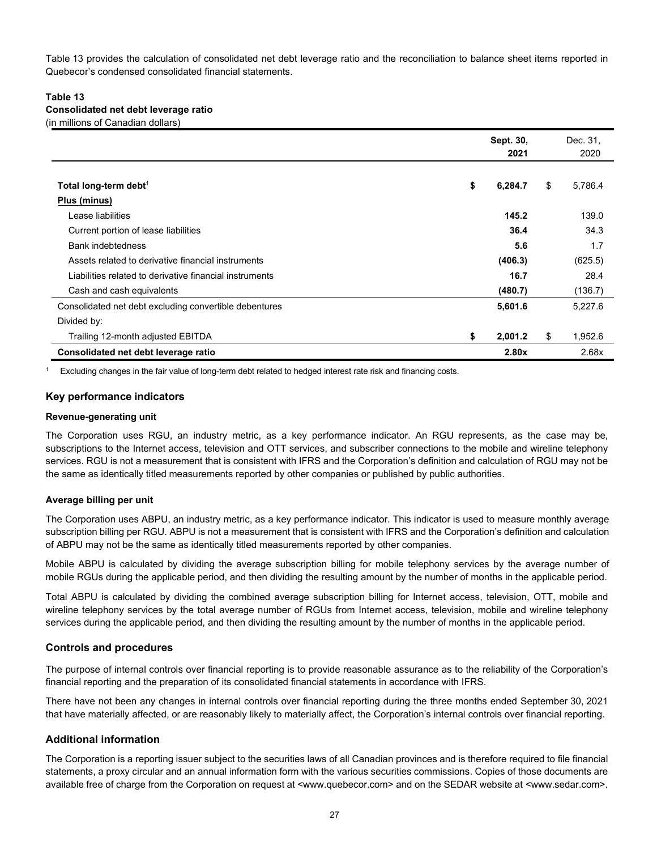Table 13 provides the calculation of consolidated net debt leverage ratio and the reconciliation to balance sheet items reported in Quebecor's condensed consolidated financial statements.

### **Table 13 Consolidated net debt leverage ratio**

(in millions of Canadian dollars)

|                                                         | Sept. 30,<br>2021 | Dec. 31,<br>2020 |
|---------------------------------------------------------|-------------------|------------------|
|                                                         |                   |                  |
| Total long-term debt <sup>1</sup>                       | \$<br>6,284.7     | \$<br>5,786.4    |
| Plus (minus)                                            |                   |                  |
| Lease liabilities                                       | 145.2             | 139.0            |
| Current portion of lease liabilities                    | 36.4              | 34.3             |
| <b>Bank indebtedness</b>                                | 5.6               | 1.7              |
| Assets related to derivative financial instruments      | (406.3)           | (625.5)          |
| Liabilities related to derivative financial instruments | 16.7              | 28.4             |
| Cash and cash equivalents                               | (480.7)           | (136.7)          |
| Consolidated net debt excluding convertible debentures  | 5,601.6           | 5,227.6          |
| Divided by:                                             |                   |                  |
| Trailing 12-month adjusted EBITDA                       | \$<br>2,001.2     | \$<br>1,952.6    |
| Consolidated net debt leverage ratio                    | 2.80x             | 2.68x            |

Excluding changes in the fair value of long-term debt related to hedged interest rate risk and financing costs.

### **Key performance indicators**

#### **Revenue-generating unit**

The Corporation uses RGU, an industry metric, as a key performance indicator. An RGU represents, as the case may be, subscriptions to the Internet access, television and OTT services, and subscriber connections to the mobile and wireline telephony services. RGU is not a measurement that is consistent with IFRS and the Corporation's definition and calculation of RGU may not be the same as identically titled measurements reported by other companies or published by public authorities.

### **Average billing per unit**

The Corporation uses ABPU, an industry metric, as a key performance indicator. This indicator is used to measure monthly average subscription billing per RGU. ABPU is not a measurement that is consistent with IFRS and the Corporation's definition and calculation of ABPU may not be the same as identically titled measurements reported by other companies.

Mobile ABPU is calculated by dividing the average subscription billing for mobile telephony services by the average number of mobile RGUs during the applicable period, and then dividing the resulting amount by the number of months in the applicable period.

Total ABPU is calculated by dividing the combined average subscription billing for Internet access, television, OTT, mobile and wireline telephony services by the total average number of RGUs from Internet access, television, mobile and wireline telephony services during the applicable period, and then dividing the resulting amount by the number of months in the applicable period.

### **Controls and procedures**

The purpose of internal controls over financial reporting is to provide reasonable assurance as to the reliability of the Corporation's financial reporting and the preparation of its consolidated financial statements in accordance with IFRS.

There have not been any changes in internal controls over financial reporting during the three months ended September 30, 2021 that have materially affected, or are reasonably likely to materially affect, the Corporation's internal controls over financial reporting.

### **Additional information**

The Corporation is a reporting issuer subject to the securities laws of all Canadian provinces and is therefore required to file financial statements, a proxy circular and an annual information form with the various securities commissions. Copies of those documents are available free of charge from the Corporation on request at <www.quebecor.com> and on the SEDAR website at <www.sedar.com>.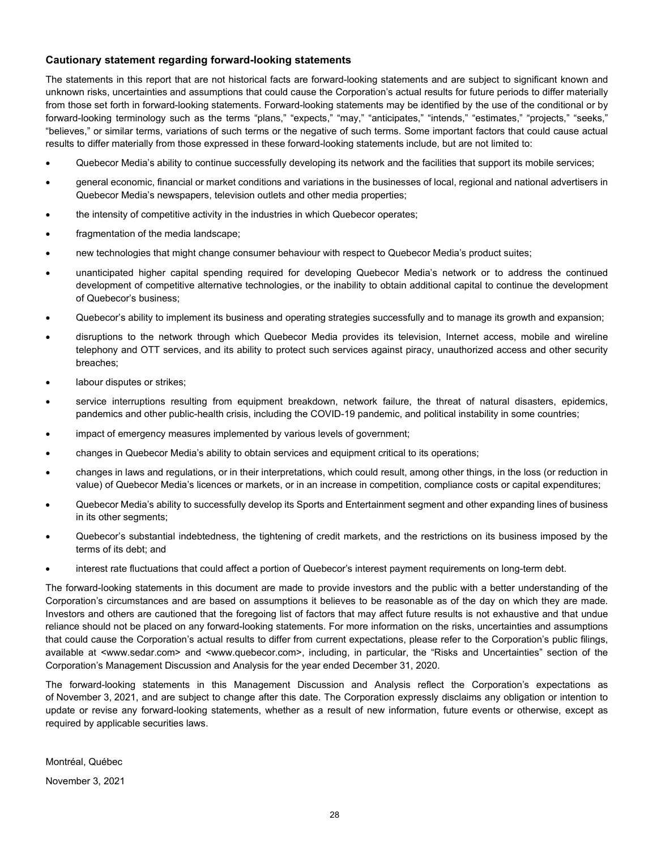### **Cautionary statement regarding forward-looking statements**

The statements in this report that are not historical facts are forward-looking statements and are subject to significant known and unknown risks, uncertainties and assumptions that could cause the Corporation's actual results for future periods to differ materially from those set forth in forward-looking statements. Forward-looking statements may be identified by the use of the conditional or by forward-looking terminology such as the terms "plans," "expects," "may," "anticipates," "intends," "estimates," "projects," "seeks," "believes," or similar terms, variations of such terms or the negative of such terms. Some important factors that could cause actual results to differ materially from those expressed in these forward-looking statements include, but are not limited to:

- Quebecor Media's ability to continue successfully developing its network and the facilities that support its mobile services;
- general economic, financial or market conditions and variations in the businesses of local, regional and national advertisers in Quebecor Media's newspapers, television outlets and other media properties;
- the intensity of competitive activity in the industries in which Quebecor operates;
- fragmentation of the media landscape;
- new technologies that might change consumer behaviour with respect to Quebecor Media's product suites;
- unanticipated higher capital spending required for developing Quebecor Media's network or to address the continued development of competitive alternative technologies, or the inability to obtain additional capital to continue the development of Quebecor's business;
- Quebecor's ability to implement its business and operating strategies successfully and to manage its growth and expansion;
- disruptions to the network through which Quebecor Media provides its television, Internet access, mobile and wireline telephony and OTT services, and its ability to protect such services against piracy, unauthorized access and other security breaches;
- labour disputes or strikes;
- service interruptions resulting from equipment breakdown, network failure, the threat of natural disasters, epidemics, pandemics and other public-health crisis, including the COVID-19 pandemic, and political instability in some countries;
- impact of emergency measures implemented by various levels of government;
- changes in Quebecor Media's ability to obtain services and equipment critical to its operations;
- changes in laws and regulations, or in their interpretations, which could result, among other things, in the loss (or reduction in value) of Quebecor Media's licences or markets, or in an increase in competition, compliance costs or capital expenditures;
- Quebecor Media's ability to successfully develop its Sports and Entertainment segment and other expanding lines of business in its other segments;
- Quebecor's substantial indebtedness, the tightening of credit markets, and the restrictions on its business imposed by the terms of its debt; and
- interest rate fluctuations that could affect a portion of Quebecor's interest payment requirements on long-term debt.

The forward-looking statements in this document are made to provide investors and the public with a better understanding of the Corporation's circumstances and are based on assumptions it believes to be reasonable as of the day on which they are made. Investors and others are cautioned that the foregoing list of factors that may affect future results is not exhaustive and that undue reliance should not be placed on any forward-looking statements. For more information on the risks, uncertainties and assumptions that could cause the Corporation's actual results to differ from current expectations, please refer to the Corporation's public filings, available at <www.sedar.com> and <www.quebecor.com>, including, in particular, the "Risks and Uncertainties" section of the Corporation's Management Discussion and Analysis for the year ended December 31, 2020.

The forward-looking statements in this Management Discussion and Analysis reflect the Corporation's expectations as of November 3, 2021, and are subject to change after this date. The Corporation expressly disclaims any obligation or intention to update or revise any forward-looking statements, whether as a result of new information, future events or otherwise, except as required by applicable securities laws.

Montréal, Québec

November 3, 2021